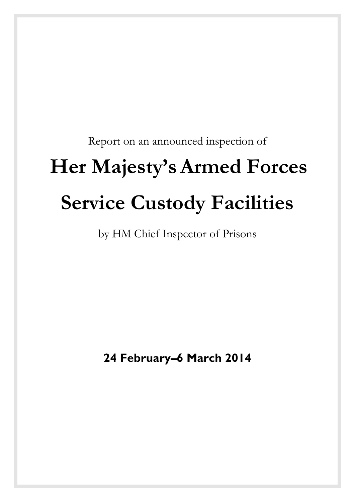Report on an announced inspection of

# **Her Majesty'sArmed Forces Service Custody Facilities**

by HM Chief Inspector of Prisons

**24 February–6 March 2014**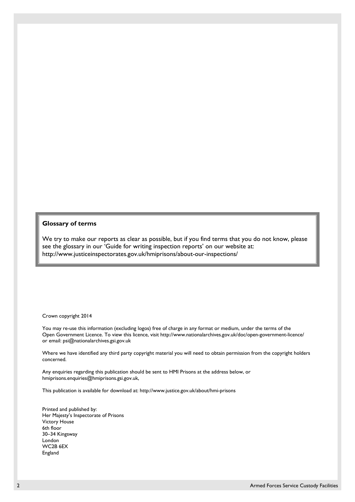#### **Glossary of terms**

We try to make our reports as clear as possible, but if you find terms that you do not know, please see the glossary in our 'Guide for writing inspection reports' on our website at: http://www.justiceinspectorates.gov.uk/hmiprisons/about-our-inspections/

#### Crown copyright 2014

You may re-use this information (excluding logos) free of charge in any format or medium, under the terms of the Open Government Licence. To view this licence, visit<http://www.nationalarchives.gov.uk/doc/open-government-licence/> or email: [psi@nationalarchives.gsi.gov.uk](mailto:psi@nationalarchives.gsi.gov.uk) 

Where we have identified any third party copyright material you will need to obtain permission from the copyright holders concerned.

Any enquiries regarding this publication should be sent to HMI Prisons at the address below, or [hmiprisons.enquiries@hmiprisons.gsi.gov.uk,](mailto:hmiprisons.enquiries@hmiprisons.gsi.gov.uk)

This publication is available for download at: <http://www.justice.gov.uk/about/hmi-prisons>

Printed and published by: Her Majesty's Inspectorate of Prisons Victory House 6th floor 30–34 Kingsway London WC2B 6EX England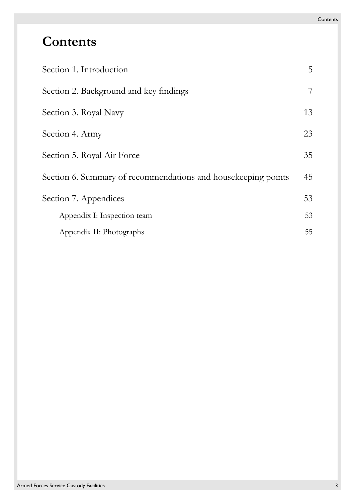## **Contents**

| Section 1. Introduction                                        | 5  |
|----------------------------------------------------------------|----|
| Section 2. Background and key findings                         |    |
| Section 3. Royal Navy                                          | 13 |
| Section 4. Army                                                | 23 |
| Section 5. Royal Air Force                                     |    |
| Section 6. Summary of recommendations and house keeping points | 45 |
| Section 7. Appendices                                          | 53 |
| Appendix I: Inspection team                                    | 53 |
| Appendix II: Photographs                                       | 55 |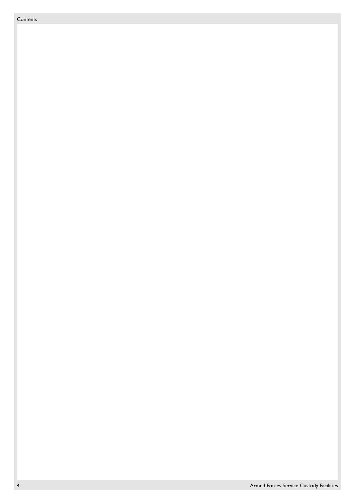#### **Contents**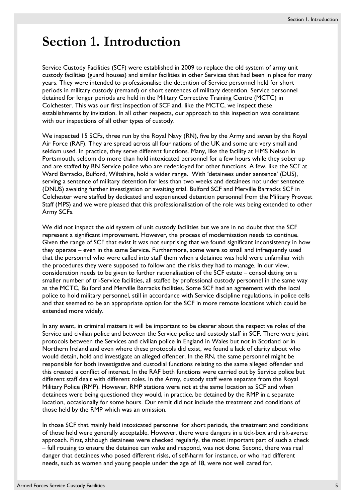## <span id="page-4-0"></span>**Section 1. Introduction**

Service Custody Facilities (SCF) were established in 2009 to replace the old system of army unit custody facilities (guard houses) and similar facilities in other Services that had been in place for many years. They were intended to professionalise the detention of Service personnel held for short periods in military custody (remand) or short sentences of military detention. Service personnel detained for longer periods are held in the Military Corrective Training Centre (MCTC) in Colchester. This was our first inspection of SCF and, like the MCTC, we inspect these establishments by invitation. In all other respects, our approach to this inspection was consistent with our inspections of all other types of custody.

We inspected 15 SCFs, three run by the Royal Navy (RN), five by the Army and seven by the Royal Air Force (RAF). They are spread across all four nations of the UK and some are very small and seldom used. In practice, they serve different functions. Many, like the facility at HMS Nelson in Portsmouth, seldom do more than hold intoxicated personnel for a few hours while they sober up and are staffed by RN Service police who are redeployed for other functions. A few, like the SCF at Ward Barracks, Bulford, Wiltshire, hold a wider range. With 'detainees under sentence' (DUS), serving a sentence of military detention for less than two weeks and detainees not under sentence (DNUS) awaiting further investigation or awaiting trial. Bulford SCF and Merville Barracks SCF in Colchester were staffed by dedicated and experienced detention personnel from the Military Provost Staff (MPS) and we were pleased that this professionalisation of the role was being extended to other Army SCFs.

We did not inspect the old system of unit custody facilities but we are in no doubt that the SCF represent a significant improvement. However, the process of modernisation needs to continue. Given the range of SCF that exist it was not surprising that we found significant inconsistency in how they operate – even in the same Service. Furthermore, some were so small and infrequently used that the personnel who were called into staff them when a detainee was held were unfamiliar with the procedures they were supposed to follow and the risks they had to manage. In our view, consideration needs to be given to further rationalisation of the SCF estate – consolidating on a smaller number of tri-Service facilities, all staffed by professional custody personnel in the same way as the MCTC, Bulford and Merville Barracks facilities. Some SCF had an agreement with the local police to hold military personnel, still in accordance with Service discipline regulations, in police cells and that seemed to be an appropriate option for the SCF in more remote locations which could be extended more widely.

In any event, in criminal matters it will be important to be clearer about the respective roles of the Service and civilian police and between the Service police and custody staff in SCF. There were joint protocols between the Services and civilian police in England in Wales but not in Scotland or in Northern Ireland and even where these protocols did exist, we found a lack of clarity about who would detain, hold and investigate an alleged offender. In the RN, the same personnel might be responsible for both investigative and custodial functions relating to the same alleged offender and this created a conflict of interest. In the RAF both functions were carried out by Service police but different staff dealt with different roles. In the Army, custody staff were separate from the Royal Military Police (RMP). However, RMP stations were not at the same location as SCF and when detainees were being questioned they would, in practice, be detained by the RMP in a separate location, occasionally for some hours. Our remit did not include the treatment and conditions of those held by the RMP which was an omission.

In those SCF that mainly held intoxicated personnel for short periods, the treatment and conditions of those held were generally acceptable. However, there were dangers in a tick-box and risk-averse approach. First, although detainees were checked regularly, the most important part of such a check – full rousing to ensure the detainee can wake and respond, was not done. Second, there was real danger that detainees who posed different risks, of self-harm for instance, or who had different needs, such as women and young people under the age of 18, were not well cared for.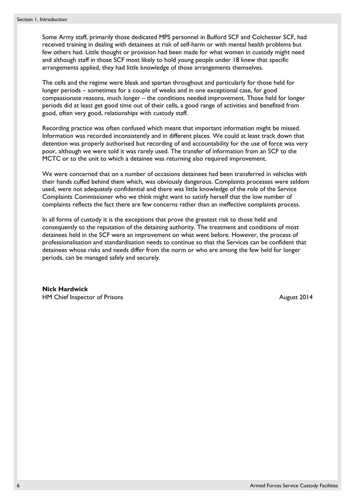Some Army staff, primarily those dedicated MPS personnel in Bulford SCF and Colchester SCF, had received training in dealing with detainees at risk of self-harm or with mental health problems but few others had. Little thought or provision had been made for what women in custody might need and although staff in those SCF most likely to hold young people under 18 knew that specific arrangements applied, they had little knowledge of those arrangements themselves.

The cells and the regime were bleak and spartan throughout and particularly for those held for longer periods – sometimes for a couple of weeks and in one exceptional case, for good compassionate reasons, much longer – the conditions needed improvement. Those held for longer periods did at least get good time out of their cells, a good range of activities and benefited from good, often very good, relationships with custody staff.

Recording practice was often confused which meant that important information might be missed. Information was recorded inconsistently and in different places. We could at least track down that detention was properly authorised but recording of and accountability for the use of force was very poor, although we were told it was rarely used. The transfer of information from an SCF to the MCTC or to the unit to which a detainee was returning also required improvement.

We were concerned that on a number of occasions detainees had been transferred in vehicles with their hands cuffed behind them which, was obviously dangerous. Complaints processes were seldom used, were not adequately confidential and there was little knowledge of the role of the Service Complaints Commissioner who we think might want to satisfy herself that the low number of complaints reflects the fact there are few concerns rather than an ineffective complaints process.

In all forms of custody it is the exceptions that prove the greatest risk to those held and consequently to the reputation of the detaining authority. The treatment and conditions of most detainees held in the SCF were an improvement on what went before. However, the process of professionalisation and standardisation needs to continue so that the Services can be confident that detainees whose risks and needs differ from the norm or who are among the few held for longer periods, can be managed safely and securely.

**Nick Hardwick**  HM Chief Inspector of Prisons August 2014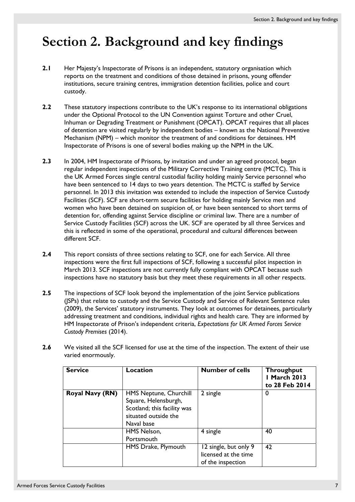## <span id="page-6-0"></span>**Section 2. Background and key findings**

- **2.1** Her Majesty's Inspectorate of Prisons is an independent, statutory organisation which reports on the treatment and conditions of those detained in prisons, young offender institutions, secure training centres, immigration detention facilities, police and court custody.
- **2.2** These statutory inspections contribute to the UK's response to its international obligations under the Optional Protocol to the UN Convention against Torture and other Cruel, Inhuman or Degrading Treatment or Punishment (OPCAT). OPCAT requires that all places of detention are visited regularly by independent bodies – known as the National Preventive Mechanism (NPM) – which monitor the treatment of and conditions for detainees. HM Inspectorate of Prisons is one of several bodies making up the NPM in the UK.
- **2.3** In 2004, HM Inspectorate of Prisons, by invitation and under an agreed protocol, began regular independent inspections of the Military Corrective Training centre (MCTC). This is the UK Armed Forces single central custodial facility holding mainly Service personnel who have been sentenced to 14 days to two years detention. The MCTC is staffed by Service personnel. In 2013 this invitation was extended to include the inspection of Service Custody Facilities (SCF). SCF are short-term secure facilities for holding mainly Service men and women who have been detained on suspicion of, or have been sentenced to short terms of detention for, offending against Service discipline or criminal law. There are a number of Service Custody Facilities (SCF) across the UK. SCF are operated by all three Services and this is reflected in some of the operational, procedural and cultural differences between different SCF.
- **2.4** This report consists of three sections relating to SCF, one for each Service. All three inspections were the first full inspections of SCF, following a successful pilot inspection in March 2013. SCF inspections are not currently fully compliant with OPCAT because such inspections have no statutory basis but they meet these requirements in all other respects.
- **2.5** The inspections of SCF look beyond the implementation of the joint Service publications (JSPs) that relate to custody and the Service Custody and Service of Relevant Sentence rules (2009), the Services' statutory instruments. They look at outcomes for detainees, particularly addressing treatment and conditions, individual rights and health care. They are informed by HM Inspectorate of Prison's independent criteria, *Expectations for UK Armed Forces Service Custody Premises* (2014).
- **2.6** We visited all the SCF licensed for use at the time of the inspection. The extent of their use varied enormously.

| <b>Service</b>  | <b>Location</b>                                                                                                     | Number of cells                                                    | <b>Throughput</b><br><b>I March 2013</b><br>to 28 Feb 2014 |
|-----------------|---------------------------------------------------------------------------------------------------------------------|--------------------------------------------------------------------|------------------------------------------------------------|
| Royal Navy (RN) | HMS Neptune, Churchill<br>Square, Helensburgh,<br>Scotland; this facility was<br>situated outside the<br>Naval base | 2 single                                                           | 0                                                          |
|                 | HMS Nelson,<br>Portsmouth                                                                                           | 4 single                                                           | 40                                                         |
|                 | HMS Drake, Plymouth                                                                                                 | 12 single, but only 9<br>licensed at the time<br>of the inspection | 42                                                         |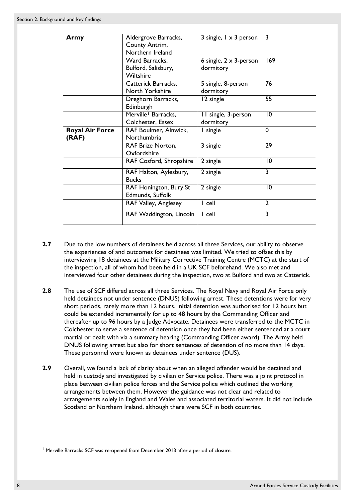|                        | Aldergrove Barracks,            | 3 single, $1 \times 3$ person  | 3               |
|------------------------|---------------------------------|--------------------------------|-----------------|
| Army                   |                                 |                                |                 |
|                        | County Antrim,                  |                                |                 |
|                        | Northern Ireland                |                                |                 |
|                        | Ward Barracks,                  | 6 single, $2 \times 3$ -person | 169             |
|                        | Bulford, Salisbury,             | dormitory                      |                 |
|                        | Wiltshire                       |                                |                 |
|                        | Catterick Barracks,             | 5 single, 8-person             | 76              |
|                        | North Yorkshire                 | dormitory                      |                 |
|                        | Dreghorn Barracks,              | 12 single                      | 55              |
|                        | Edinburgh                       |                                |                 |
|                        | Merville <sup>1</sup> Barracks, | II single, 3-person            | 10              |
|                        | Colchester, Essex               | dormitory                      |                 |
| <b>Royal Air Force</b> | RAF Boulmer, Alnwick,           | I single                       | 0               |
| (RAF)                  | <b>Northumbria</b>              |                                |                 |
|                        | RAF Brize Norton,               | 3 single                       | 29              |
|                        | Oxfordshire                     |                                |                 |
|                        | RAF Cosford, Shropshire         | $\overline{2}$ single          | 10              |
|                        | RAF Halton, Aylesbury,          | 2 single                       | 3               |
|                        | <b>Bucks</b>                    |                                |                 |
|                        | RAF Honington, Bury St          | 2 single                       | $\overline{10}$ |
|                        | Edmunds, Suffolk                |                                |                 |
|                        | <b>RAF Valley, Anglesey</b>     | I cell                         | $\overline{2}$  |
|                        | RAF Waddington, Lincoln         | I cell                         | 3               |
|                        |                                 |                                |                 |

- 2.7 Due to the low numbers of detainees held across all three Services, our ability to observe the experiences of and outcomes for detainees was limited. We tried to offset this by interviewing 18 detainees at the Military Corrective Training Centre (MCTC) at the start of the inspection, all of whom had been held in a UK SCF beforehand. We also met and interviewed four other detainees during the inspection, two at Bulford and two at Catterick.
- **2.8** The use of SCF differed across all three Services. The Royal Navy and Royal Air Force only held detainees not under sentence (DNUS) following arrest. These detentions were for very short periods, rarely more than 12 hours. Initial detention was authorised for 12 hours but could be extended incrementally for up to 48 hours by the Commanding Officer and thereafter up to 96 hours by a Judge Advocate. Detainees were transferred to the MCTC in Colchester to serve a sentence of detention once they had been either sentenced at a court martial or dealt with via a summary hearing (Commanding Officer award). The Army held DNUS following arrest but also for short sentences of detention of no more than 14 days. These personnel were known as detainees under sentence (DUS).
- **2.9** Overall, we found a lack of clarity about when an alleged offender would be detained and held in custody and investigated by civilian or Service police. There was a joint protocol in place between civilian police forces and the Service police which outlined the working arrangements between them. However the guidance was not clear and related to arrangements solely in England and Wales and associated territorial waters. It did not include Scotland or Northern Ireland, although there were SCF in both countries.

 $\overline{a}$ 

<span id="page-7-0"></span><sup>&</sup>lt;sup>1</sup> Merville Barracks SCF was re-opened from December 2013 after a period of closure.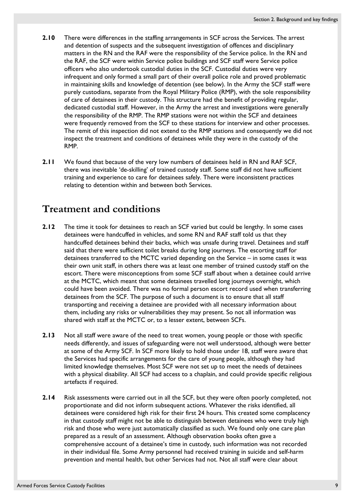- <span id="page-8-0"></span>**2.10** There were differences in the staffing arrangements in SCF across the Services. The arrest and detention of suspects and the subsequent investigation of offences and disciplinary matters in the RN and the RAF were the responsibility of the Service police. In the RN and the RAF, the SCF were within Service police buildings and SCF staff were Service police officers who also undertook custodial duties in the SCF. Custodial duties were very infrequent and only formed a small part of their overall police role and proved problematic in maintaining skills and knowledge of detention (see below). In the Army the SCF staff were purely custodians, separate from the Royal Military Police (RMP), with the sole responsibility of care of detainees in their custody. This structure had the benefit of providing regular, dedicated custodial staff. However, in the Army the arrest and investigations were generally the responsibility of the RMP. The RMP stations were not within the SCF and detainees were frequently removed from the SCF to these stations for interview and other processes. The remit of this inspection did not extend to the RMP stations and consequently we did not inspect the treatment and conditions of detainees while they were in the custody of the RMP.
- **2.11** We found that because of the very low numbers of detainees held in RN and RAF SCF, there was inevitable 'de-skilling' of trained custody staff. Some staff did not have sufficient training and experience to care for detainees safely. There were inconsistent practices relating to detention within and between both Services.

### **Treatment and conditions**

- **2.12** The time it took for detainees to reach an SCF varied but could be lengthy. In some cases detainees were handcuffed in vehicles, and some RN and RAF staff told us that they handcuffed detainees behind their backs, which was unsafe during travel. Detainees and staff said that there were sufficient toilet breaks during long journeys. The escorting staff for detainees transferred to the MCTC varied depending on the Service – in some cases it was their own unit staff, in others there was at least one member of trained custody staff on the escort. There were misconceptions from some SCF staff about when a detainee could arrive at the MCTC, which meant that some detainees travelled long journeys overnight, which could have been avoided. There was no formal person escort record used when transferring detainees from the SCF. The purpose of such a document is to ensure that all staff transporting and receiving a detainee are provided with all necessary information about them, including any risks or vulnerabilities they may present. So not all information was shared with staff at the MCTC or, to a lesser extent, between SCFs.
- **2.13** Not all staff were aware of the need to treat women, young people or those with specific needs differently, and issues of safeguarding were not well understood, although were better at some of the Army SCF. In SCF more likely to hold those under 18, staff were aware that the Services had specific arrangements for the care of young people, although they had limited knowledge themselves. Most SCF were not set up to meet the needs of detainees with a physical disability. All SCF had access to a chaplain, and could provide specific religious artefacts if required.
- **2.14** Risk assessments were carried out in all the SCF, but they were often poorly completed, not proportionate and did not inform subsequent actions. Whatever the risks identified, all detainees were considered high risk for their first 24 hours. This created some complacency in that custody staff might not be able to distinguish between detainees who were truly high risk and those who were just automatically classified as such. We found only one care plan prepared as a result of an assessment. Although observation books often gave a comprehensive account of a detainee's time in custody, such information was not recorded in their individual file. Some Army personnel had received training in suicide and self-harm prevention and mental health, but other Services had not. Not all staff were clear about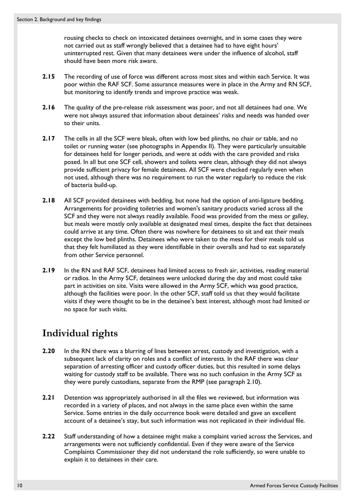rousing checks to check on intoxicated detainees overnight, and in some cases they were not carried out as staff wrongly believed that a detainee had to have eight hours' uninterrupted rest. Given that many detainees were under the influence of alcohol, staff should have been more risk aware.

- **2.15** The recording of use of force was different across most sites and within each Service. It was poor within the RAF SCF. Some assurance measures were in place in the Army and RN SCF, but monitoring to identify trends and improve practice was weak.
- **2.16** The quality of the pre-release risk assessment was poor, and not all detainees had one. We were not always assured that information about detainees' risks and needs was handed over to their units.
- **2.17** The cells in all the SCF were bleak, often with low bed plinths, no chair or table, and no toilet or running water (see photographs in Appendix II). They were particularly unsuitable for detainees held for longer periods, and were at odds with the care provided and risks posed. In all but one SCF cell, showers and toilets were clean, although they did not always provide sufficient privacy for female detainees. All SCF were checked regularly even when not used, although there was no requirement to run the water regularly to reduce the risk of bacteria build-up.
- **2.18** All SCF provided detainees with bedding, but none had the option of anti-ligature bedding. Arrangements for providing toiletries and women's sanitary products varied across all the SCF and they were not always readily available. Food was provided from the mess or galley, but meals were mostly only available at designated meal times, despite the fact that detainees could arrive at any time. Often there was nowhere for detainees to sit and eat their meals except the low bed plinths. Detainees who were taken to the mess for their meals told us that they felt humiliated as they were identifiable in their overalls and had to eat separately from other Service personnel.
- **2.19** In the RN and RAF SCF, detainees had limited access to fresh air, activities, reading material or radios. In the Army SCF, detainees were unlocked during the day and most could take part in activities on site. Visits were allowed in the Army SCF, which was good practice, although the facilities were poor. In the other SCF, staff told us that they would facilitate visits if they were thought to be in the detainee's best interest, although most had limited or no space for such visits.

### **Individual rights**

- **2.20** In the RN there was a blurring of lines between arrest, custody and investigation, with a subsequent lack of clarity on roles and a conflict of interests. In the RAF there was clear separation of arresting officer and custody officer duties, but this resulted in some delays waiting for custody staff to be available. There was no such confusion in the Army SCF as they were purely custodians, separate from the RMP (see paragraph [2.10](#page-8-0)).
- **2.21** Detention was appropriately authorised in all the files we reviewed, but information was recorded in a variety of places, and not always in the same place even within the same Service. Some entries in the daily occurrence book were detailed and gave an excellent account of a detainee's stay, but such information was not replicated in their individual file.
- **2.22** Staff understanding of how a detainee might make a complaint varied across the Services, and arrangements were not sufficiently confidential. Even if they were aware of the Service Complaints Commissioner they did not understand the role sufficiently, so were unable to explain it to detainees in their care.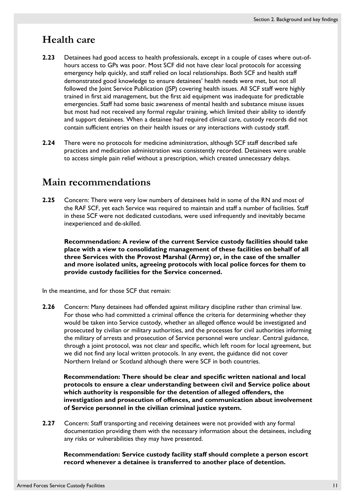### **Health care**

- **2.23** Detainees had good access to health professionals, except in a couple of cases where out-ofhours access to GPs was poor. Most SCF did not have clear local protocols for accessing emergency help quickly, and staff relied on local relationships. Both SCF and health staff demonstrated good knowledge to ensure detainees' health needs were met, but not all followed the Joint Service Publication (JSP) covering health issues. All SCF staff were highly trained in first aid management, but the first aid equipment was inadequate for predictable emergencies. Staff had some basic awareness of mental health and substance misuse issues but most had not received any formal regular training, which limited their ability to identify and support detainees. When a detainee had required clinical care, custody records did not contain sufficient entries on their health issues or any interactions with custody staff.
- **2.24** There were no protocols for medicine administration, although SCF staff described safe practices and medication administration was consistently recorded. Detainees were unable to access simple pain relief without a prescription, which created unnecessary delays.

### **Main recommendations**

<span id="page-10-2"></span>**2.25** Concern: There were very low numbers of detainees held in some of the RN and most of the RAF SCF, yet each Service was required to maintain and staff a number of facilities. Staff in these SCF were not dedicated custodians, were used infrequently and inevitably became inexperienced and de-skilled.

**Recommendation: A review of the current Service custody facilities should take place with a view to consolidating management of these facilities on behalf of all three Services with the Provost Marshal (Army) or, in the case of the smaller and more isolated units, agreeing protocols with local police forces for them to provide custody facilities for the Service concerned.** 

In the meantime, and for those SCF that remain:

<span id="page-10-1"></span>**2.26** Concern: Many detainees had offended against military discipline rather than criminal law. For those who had committed a criminal offence the criteria for determining whether they would be taken into Service custody, whether an alleged offence would be investigated and prosecuted by civilian or military authorities, and the processes for civil authorities informing the military of arrests and prosecution of Service personnel were unclear. Central guidance, through a joint protocol, was not clear and specific, which left room for local agreement, but we did not find any local written protocols. In any event, the guidance did not cover Northern Ireland or Scotland although there were SCF in both countries.

**Recommendation: There should be clear and specific written national and local protocols to ensure a clear understanding between civil and Service police about which authority is responsible for the detention of alleged offenders, the investigation and prosecution of offences, and communication about involvement of Service personnel in the civilian criminal justice system.** 

<span id="page-10-0"></span>**2.27** Concern: Staff transporting and receiving detainees were not provided with any formal documentation providing them with the necessary information about the detainees, including any risks or vulnerabilities they may have presented.

**Recommendation: Service custody facility staff should complete a person escort record whenever a detainee is transferred to another place of detention.**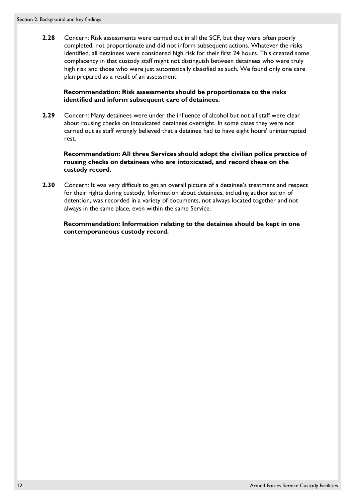<span id="page-11-0"></span>**2.28** Concern: Risk assessments were carried out in all the SCF, but they were often poorly completed, not proportionate and did not inform subsequent actions. Whatever the risks identified, all detainees were considered high risk for their first 24 hours. This created some complacency in that custody staff might not distinguish between detainees who were truly high risk and those who were just automatically classified as such. We found only one care plan prepared as a result of an assessment.

#### **Recommendation: Risk assessments should be proportionate to the risks identified and inform subsequent care of detainees.**

<span id="page-11-1"></span>**2.29** Concern: Many detainees were under the influence of alcohol but not all staff were clear about rousing checks on intoxicated detainees overnight. In some cases they were not carried out as staff wrongly believed that a detainee had to have eight hours' uninterrupted rest.

**Recommendation: All three Services should adopt the civilian police practice of rousing checks on detainees who are intoxicated, and record these on the custody record.** 

<span id="page-11-2"></span>**2.30** Concern: It was very difficult to get an overall picture of a detainee's treatment and respect for their rights during custody, Information about detainees, including authorisation of detention, was recorded in a variety of documents, not always located together and not always in the same place, even within the same Service.

**Recommendation: Information relating to the detainee should be kept in one contemporaneous custody record.**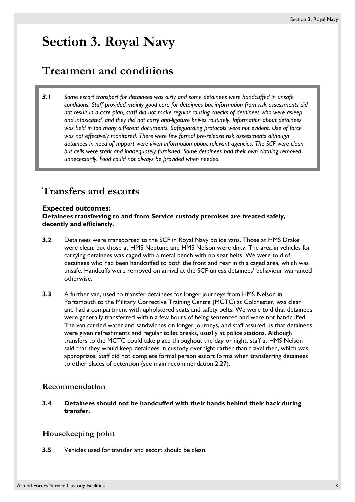## <span id="page-12-0"></span>**Section 3. Royal Navy**

### **Treatment and conditions**

*3.1 Some escort transport for detainees was dirty and some detainees were handcuffed in unsafe conditions. Staff provided mainly good care for detainees but information from risk assessments did not result in a care plan, staff did not make regular rousing checks of detainees who were asleep and intoxicated, and they did not carry anti-ligature knives routinely. Information about detainees was held in too many different documents. Safeguarding protocols were not evident. Use of force was not effectively monitored. There were few formal pre-release risk assessments although detainees in need of support were given information about relevant agencies. The SCF were clean but cells were stark and inadequately furnished. Some detainees had their own clothing removed unnecessarily. Food could not always be provided when needed.* 

### **Transfers and escorts**

#### **Expected outcomes: Detainees transferring to and from Service custody premises are treated safely, decently and efficiently.**

- **3.2** Detainees were transported to the SCF in Royal Navy police vans. Those at HMS Drake were clean, but those at HMS Neptune and HMS Nelson were dirty. The area in vehicles for carrying detainees was caged with a metal bench with no seat belts. We were told of detainees who had been handcuffed to both the front and rear in this caged area, which was unsafe. Handcuffs were removed on arrival at the SCF unless detainees' behaviour warranted otherwise.
- **3.3** A further van, used to transfer detainees for longer journeys from HMS Nelson in Portsmouth to the Military Corrective Training Centre (MCTC) at Colchester, was clean and had a compartment with upholstered seats and safety belts. We were told that detainees were generally transferred within a few hours of being sentenced and were not handcuffed. The van carried water and sandwiches on longer journeys, and staff assured us that detainees were given refreshments and regular toilet breaks, usually at police stations. Although transfers to the MCTC could take place throughout the day or night, staff at HMS Nelson said that they would keep detainees in custody overnight rather than travel then, which was appropriate. Staff did not complete formal person escort forms when transferring detainees to other places of detention (see main recommendation [2.27\)](#page-10-0).

#### **Recommendation**

<span id="page-12-1"></span>**3.4 Detainees should not be handcuffed with their hands behind their back during transfer.**

#### **Housekeeping point**

<span id="page-12-2"></span>**3.5** Vehicles used for transfer and escort should be clean.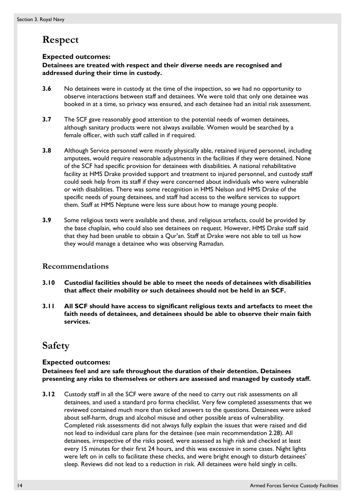### **Respect**

#### **Expected outcomes:**

#### **Detainees are treated with respect and their diverse needs are recognised and addressed during their time in custody.**

- **3.6** No detainees were in custody at the time of the inspection, so we had no opportunity to observe interactions between staff and detainees. We were told that only one detainee was booked in at a time, so privacy was ensured, and each detainee had an initial risk assessment.
- **3.7** The SCF gave reasonably good attention to the potential needs of women detainees, although sanitary products were not always available. Women would be searched by a female officer, with such staff called in if required.
- **3.8** Although Service personnel were mostly physically able, retained injured personnel, including amputees, would require reasonable adjustments in the facilities if they were detained. None of the SCF had specific provision for detainees with disabilities. A national rehabilitative facility at HMS Drake provided support and treatment to injured personnel, and custody staff could seek help from its staff if they were concerned about individuals who were vulnerable or with disabilities. There was some recognition in HMS Nelson and HMS Drake of the specific needs of young detainees, and staff had access to the welfare services to support them. Staff at HMS Neptune were less sure about how to manage young people.
- **3.9** Some religious texts were available and these, and religious artefacts, could be provided by the base chaplain, who could also see detainees on request. However, HMS Drake staff said that they had been unable to obtain a Qur'an. Staff at Drake were not able to tell us how they would manage a detainee who was observing Ramadan.

### **Recommendations**

- <span id="page-13-0"></span>**3.10 Custodial facilities should be able to meet the needs of detainees with disabilities that affect their mobility or such detainees should not be held in an SCF.**
- <span id="page-13-1"></span>**3.11 All SCF should have access to significant religious texts and artefacts to meet the faith needs of detainees, and detainees should be able to observe their main faith services.**

### **Safety**

#### **Expected outcomes:**

**Detainees feel and are safe throughout the duration of their detention. Detainees presenting any risks to themselves or others are assessed and managed by custody staff.** 

**3.12** Custody staff in all the SCF were aware of the need to carry out risk assessments on all detainees, and used a standard pro forma checklist. Very few completed assessments that we reviewed contained much more than ticked answers to the questions. Detainees were asked about self-harm, drugs and alcohol misuse and other possible areas of vulnerability. Completed risk assessments did not always fully explain the issues that were raised and did not lead to individual care plans for the detainee (see main recommendation [2.28\)](#page-11-0). All detainees, irrespective of the risks posed, were assessed as high risk and checked at least every 15 minutes for their first 24 hours, and this was excessive in some cases. Night lights were left on in cells to facilitate these checks, and were bright enough to disturb detainees' sleep. Reviews did not lead to a reduction in risk. All detainees were held singly in cells.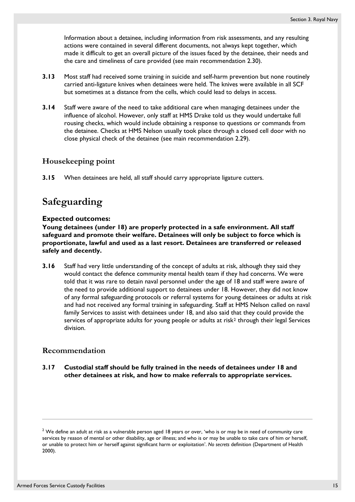Information about a detainee, including information from risk assessments, and any resulting actions were contained in several different documents, not always kept together, which made it difficult to get an overall picture of the issues faced by the detainee, their needs and the care and timeliness of care provided (see main recommendation 2.30).

- **3.13** Most staff had received some training in suicide and self-harm prevention but none routinely carried anti-ligature knives when detainees were held. The knives were available in all SCF but sometimes at a distance from the cells, which could lead to delays in access.
- **3.14** Staff were aware of the need to take additional care when managing detainees under the influence of alcohol. However, only staff at HMS Drake told us they would undertake full rousing checks, which would include obtaining a response to questions or commands from the detainee. Checks at HMS Nelson usually took place through a closed cell door with no close physical check of the detainee (see main recommendation [2.29\)](#page-11-1).

#### **Housekeeping point**

<span id="page-14-2"></span>**3.15** When detainees are held, all staff should carry appropriate ligature cutters.

### **Safeguarding**

#### **Expected outcomes:**

**Young detainees (under 18) are properly protected in a safe environment. All staff safeguard and promote their welfare. Detainees will only be subject to force which is proportionate, lawful and used as a last resort. Detainees are transferred or released safely and decently.** 

**3.16** Staff had very little understanding of the concept of adults at risk, although they said they would contact the defence community mental health team if they had concerns. We were told that it was rare to detain naval personnel under the age of 18 and staff were aware of the need to provide additional support to detainees under 18. However, they did not know of any formal safeguarding protocols or referral systems for young detainees or adults at risk and had not received any formal training in safeguarding. Staff at HMS Nelson called on naval family Services to assist with detainees under 18, and also said that they could provide the services of appropriate adults for young people or adults at risk<sup>[2](#page-14-0)</sup> through their legal Services division.

#### **Recommendation**

<span id="page-14-1"></span>**3.17 Custodial staff should be fully trained in the needs of detainees under 18 and other detainees at risk, and how to make referrals to appropriate services.** 

 $\overline{a}$ 

<span id="page-14-0"></span> $2$  We define an adult at risk as a vulnerable person aged 18 years or over, 'who is or may be in need of community care services by reason of mental or other disability, age or illness; and who is or may be unable to take care of him or herself, or unable to protect him or herself against significant harm or exploitation'. *No secrets* definition (Department of Health 2000).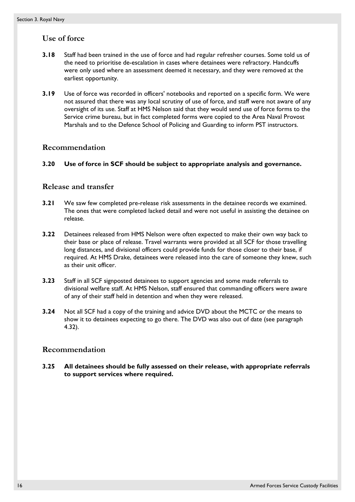#### **Use of force**

- **3.18** Staff had been trained in the use of force and had regular refresher courses. Some told us of the need to prioritise de-escalation in cases where detainees were refractory. Handcuffs were only used where an assessment deemed it necessary, and they were removed at the earliest opportunity.
- **3.19** Use of force was recorded in officers' notebooks and reported on a specific form. We were not assured that there was any local scrutiny of use of force, and staff were not aware of any oversight of its use. Staff at HMS Nelson said that they would send use of force forms to the Service crime bureau, but in fact completed forms were copied to the Area Naval Provost Marshals and to the Defence School of Policing and Guarding to inform PST instructors.

#### **Recommendation**

#### <span id="page-15-0"></span>**3.20 Use of force in SCF should be subject to appropriate analysis and governance.**

#### **Release and transfer**

- **3.21** We saw few completed pre-release risk assessments in the detainee records we examined. The ones that were completed lacked detail and were not useful in assisting the detainee on release.
- **3.22** Detainees released from HMS Nelson were often expected to make their own way back to their base or place of release. Travel warrants were provided at all SCF for those travelling long distances, and divisional officers could provide funds for those closer to their base, if required. At HMS Drake, detainees were released into the care of someone they knew, such as their unit officer.
- **3.23** Staff in all SCF signposted detainees to support agencies and some made referrals to divisional welfare staff. At HMS Nelson, staff ensured that commanding officers were aware of any of their staff held in detention and when they were released.
- **3.24** Not all SCF had a copy of the training and advice DVD about the MCTC or the means to show it to detainees expecting to go there. The DVD was also out of date (see paragraph [4.32\)](#page-26-0).

#### **Recommendation**

<span id="page-15-1"></span>**3.25 All detainees should be fully assessed on their release, with appropriate referrals to support services where required.**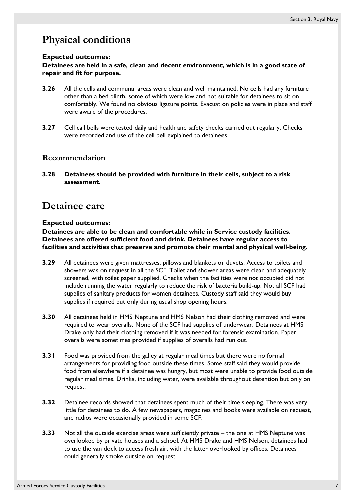### **Physical conditions**

#### **Expected outcomes:**

#### **Detainees are held in a safe, clean and decent environment, which is in a good state of repair and fit for purpose.**

- **3.26** All the cells and communal areas were clean and well maintained. No cells had any furniture other than a bed plinth, some of which were low and not suitable for detainees to sit on comfortably. We found no obvious ligature points. Evacuation policies were in place and staff were aware of the procedures.
- **3.27** Cell call bells were tested daily and health and safety checks carried out regularly. Checks were recorded and use of the cell bell explained to detainees.

#### **Recommendation**

<span id="page-16-0"></span>**3.28 Detainees should be provided with furniture in their cells, subject to a risk assessment.**

### **Detainee care**

#### **Expected outcomes:**

**Detainees are able to be clean and comfortable while in Service custody facilities. Detainees are offered sufficient food and drink. Detainees have regular access to facilities and activities that preserve and promote their mental and physical well-being.** 

- **3.29** All detainees were given mattresses, pillows and blankets or duvets. Access to toilets and showers was on request in all the SCF. Toilet and shower areas were clean and adequately screened, with toilet paper supplied. Checks when the facilities were not occupied did not include running the water regularly to reduce the risk of bacteria build-up. Not all SCF had supplies of sanitary products for women detainees. Custody staff said they would buy supplies if required but only during usual shop opening hours.
- **3.30** All detainees held in HMS Neptune and HMS Nelson had their clothing removed and were required to wear overalls. None of the SCF had supplies of underwear. Detainees at HMS Drake only had their clothing removed if it was needed for forensic examination. Paper overalls were sometimes provided if supplies of overalls had run out.
- **3.31** Food was provided from the galley at regular meal times but there were no formal arrangements for providing food outside these times. Some staff said they would provide food from elsewhere if a detainee was hungry, but most were unable to provide food outside regular meal times. Drinks, including water, were available throughout detention but only on request.
- **3.32** Detainee records showed that detainees spent much of their time sleeping. There was very little for detainees to do. A few newspapers, magazines and books were available on request, and radios were occasionally provided in some SCF.
- **3.33** Not all the outside exercise areas were sufficiently private the one at HMS Neptune was overlooked by private houses and a school. At HMS Drake and HMS Nelson, detainees had to use the van dock to access fresh air, with the latter overlooked by offices. Detainees could generally smoke outside on request.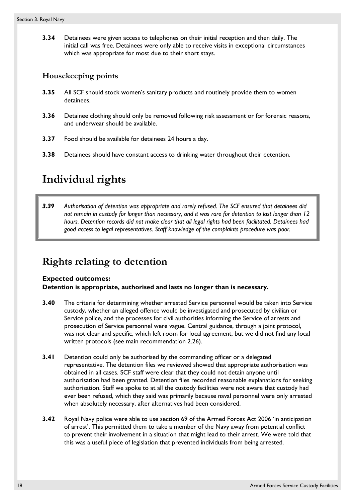**3.34** Detainees were given access to telephones on their initial reception and then daily. The initial call was free. Detainees were only able to receive visits in exceptional circumstances which was appropriate for most due to their short stays.

#### **Housekeeping points**

- <span id="page-17-0"></span>**3.35** All SCF should stock women's sanitary products and routinely provide them to women detainees.
- <span id="page-17-1"></span>**3.36** Detainee clothing should only be removed following risk assessment or for forensic reasons, and underwear should be available.
- <span id="page-17-2"></span>**3.37** Food should be available for detainees 24 hours a day.
- <span id="page-17-3"></span>**3.38** Detainees should have constant access to drinking water throughout their detention.

### **Individual rights**

*3.39 Authorisation of detention was appropriate and rarely refused. The SCF ensured that detainees did not remain in custody for longer than necessary, and it was rare for detention to last longer than 12 hours. Detention records did not make clear that all legal rights had been facilitated. Detainees had good access to legal representatives. Staff knowledge of the complaints procedure was poor.* 

### **Rights relating to detention**

#### **Expected outcomes:**

**Detention is appropriate, authorised and lasts no longer than is necessary.**

- **3.40** The criteria for determining whether arrested Service personnel would be taken into Service custody, whether an alleged offence would be investigated and prosecuted by civilian or Service police, and the processes for civil authorities informing the Service of arrests and prosecution of Service personnel were vague. Central guidance, through a joint protocol, was not clear and specific, which left room for local agreement, but we did not find any local written protocols (see main recommendation [2.26\)](#page-10-1).
- **3.41** Detention could only be authorised by the commanding officer or a delegated representative. The detention files we reviewed showed that appropriate authorisation was obtained in all cases. SCF staff were clear that they could not detain anyone until authorisation had been granted. Detention files recorded reasonable explanations for seeking authorisation. Staff we spoke to at all the custody facilities were not aware that custody had ever been refused, which they said was primarily because naval personnel were only arrested when absolutely necessary, after alternatives had been considered.
- **3.42** Royal Navy police were able to use section 69 of the Armed Forces Act 2006 'in anticipation of arrest'. This permitted them to take a member of the Navy away from potential conflict to prevent their involvement in a situation that might lead to their arrest. We were told that this was a useful piece of legislation that prevented individuals from being arrested.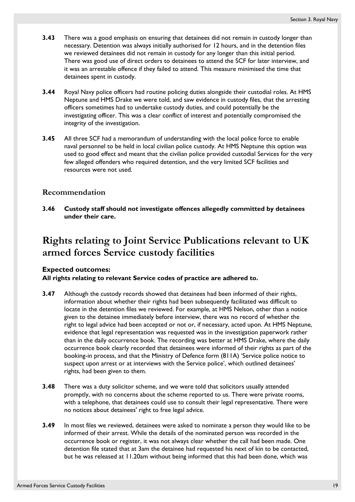- **3.43** There was a good emphasis on ensuring that detainees did not remain in custody longer than necessary. Detention was always initially authorised for 12 hours, and in the detention files we reviewed detainees did not remain in custody for any longer than this initial period. There was good use of direct orders to detainees to attend the SCF for later interview, and it was an arrestable offence if they failed to attend. This measure minimised the time that detainees spent in custody.
- **3.44** Royal Navy police officers had routine policing duties alongside their custodial roles. At HMS Neptune and HMS Drake we were told, and saw evidence in custody files, that the arresting officers sometimes had to undertake custody duties, and could potentially be the investigating officer. This was a clear conflict of interest and potentially compromised the integrity of the investigation.
- **3.45** All three SCF had a memorandum of understanding with the local police force to enable naval personnel to be held in local civilian police custody. At HMS Neptune this option was used to good effect and meant that the civilian police provided custodial Services for the very few alleged offenders who required detention, and the very limited SCF facilities and resources were not used.

#### **Recommendation**

<span id="page-18-0"></span>**3.46 Custody staff should not investigate offences allegedly committed by detainees under their care.** 

### **Rights relating to Joint Service Publications relevant to UK armed forces Service custody facilities**

#### **Expected outcomes:**

**All rights relating to relevant Service codes of practice are adhered to.** 

- **3.47** Although the custody records showed that detainees had been informed of their rights, information about whether their rights had been subsequently facilitated was difficult to locate in the detention files we reviewed. For example, at HMS Nelson, other than a notice given to the detainee immediately before interview, there was no record of whether the right to legal advice had been accepted or not or, if necessary, acted upon. At HMS Neptune, evidence that legal representation was requested was in the investigation paperwork rather than in the daily occurrence book. The recording was better at HMS Drake, where the daily occurrence book clearly recorded that detainees were informed of their rights as part of the booking-in process, and that the Ministry of Defence form (811A) 'Service police notice to suspect upon arrest or at interviews with the Service police', which outlined detainees' rights, had been given to them.
- **3.48** There was a duty solicitor scheme, and we were told that solicitors usually attended promptly, with no concerns about the scheme reported to us. There were private rooms, with a telephone, that detainees could use to consult their legal representative. There were no notices about detainees' right to free legal advice.
- **3.49** In most files we reviewed, detainees were asked to nominate a person they would like to be informed of their arrest. While the details of the nominated person was recorded in the occurrence book or register, it was not always clear whether the call had been made. One detention file stated that at 3am the detainee had requested his next of kin to be contacted, but he was released at 11.20am without being informed that this had been done, which was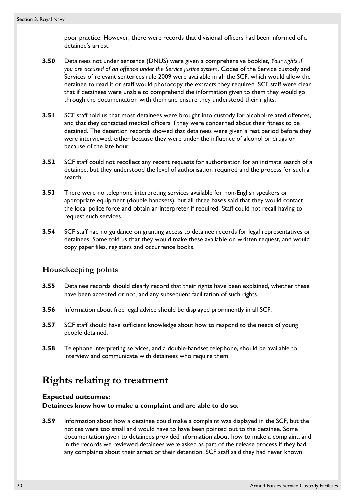poor practice. However, there were records that divisional officers had been informed of a detainee's arrest.

- **3.50** Detainees not under sentence (DNUS) were given a comprehensive booklet, *Your rights if you are accused of an offence under the Service justice system*. Codes of the Service custody and Services of relevant sentences rule 2009 were available in all the SCF, which would allow the detainee to read it or staff would photocopy the extracts they required. SCF staff were clear that if detainees were unable to comprehend the information given to them they would go through the documentation with them and ensure they understood their rights.
- **3.51** SCF staff told us that most detainees were brought into custody for alcohol-related offences, and that they contacted medical officers if they were concerned about their fitness to be detained. The detention records showed that detainees were given a rest period before they were interviewed, either because they were under the influence of alcohol or drugs or because of the late hour.
- **3.52** SCF staff could not recollect any recent requests for authorisation for an intimate search of a detainee, but they understood the level of authorisation required and the process for such a search.
- **3.53** There were no telephone interpreting services available for non-English speakers or appropriate equipment (double handsets), but all three bases said that they would contact the local police force and obtain an interpreter if required. Staff could not recall having to request such services.
- **3.54** SCF staff had no guidance on granting access to detainee records for legal representatives or detainees. Some told us that they would make these available on written request, and would copy paper files, registers and occurrence books.

#### **Housekeeping points**

- <span id="page-19-0"></span>**3.55** Detainee records should clearly record that their rights have been explained, whether these have been accepted or not, and any subsequent facilitation of such rights.
- <span id="page-19-1"></span>**3.56** Information about free legal advice should be displayed prominently in all SCF.
- <span id="page-19-2"></span>**3.57** SCF staff should have sufficient knowledge about how to respond to the needs of young people detained.
- <span id="page-19-3"></span>**3.58** Telephone interpreting services, and a double-handset telephone, should be available to interview and communicate with detainees who require them.

### **Rights relating to treatment**

#### **Expected outcomes:**

**Detainees know how to make a complaint and are able to do so.** 

**3.59** Information about how a detainee could make a complaint was displayed in the SCF, but the notices were too small and would have to have been pointed out to the detainee. Some documentation given to detainees provided information about how to make a complaint, and in the records we reviewed detainees were asked as part of the release process if they had any complaints about their arrest or their detention. SCF staff said they had never known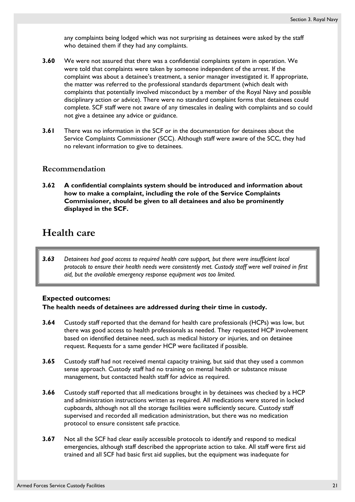any complaints being lodged which was not surprising as detainees were asked by the staff who detained them if they had any complaints.

- **3.60** We were not assured that there was a confidential complaints system in operation. We were told that complaints were taken by someone independent of the arrest. If the complaint was about a detainee's treatment, a senior manager investigated it. If appropriate, the matter was referred to the professional standards department (which dealt with complaints that potentially involved misconduct by a member of the Royal Navy and possible disciplinary action or advice). There were no standard complaint forms that detainees could complete. SCF staff were not aware of any timescales in dealing with complaints and so could not give a detainee any advice or guidance.
- **3.61** There was no information in the SCF or in the documentation for detainees about the Service Complaints Commissioner (SCC). Although staff were aware of the SCC, they had no relevant information to give to detainees.

#### **Recommendation**

<span id="page-20-0"></span>**3.62 A confidential complaints system should be introduced and information about how to make a complaint, including the role of the Service Complaints Commissioner, should be given to all detainees and also be prominently displayed in the SCF.** 

### **Health care**

*3.63 Detainees had good access to required health care support, but there were insufficient local protocols to ensure their health needs were consistently met. Custody staff were well trained in first aid, but the available emergency response equipment was too limited.* 

#### **Expected outcomes:**

**The health needs of detainees are addressed during their time in custody.** 

- **3.64** Custody staff reported that the demand for health care professionals (HCPs) was low, but there was good access to health professionals as needed. They requested HCP involvement based on identified detainee need, such as medical history or injuries, and on detainee request. Requests for a same gender HCP were facilitated if possible.
- **3.65** Custody staff had not received mental capacity training, but said that they used a common sense approach. Custody staff had no training on mental health or substance misuse management, but contacted health staff for advice as required.
- **3.66** Custody staff reported that all medications brought in by detainees was checked by a HCP and administration instructions written as required. All medications were stored in locked cupboards, although not all the storage facilities were sufficiently secure. Custody staff supervised and recorded all medication administration, but there was no medication protocol to ensure consistent safe practice.
- **3.67** Not all the SCF had clear easily accessible protocols to identify and respond to medical emergencies, although staff described the appropriate action to take. All staff were first aid trained and all SCF had basic first aid supplies, but the equipment was inadequate for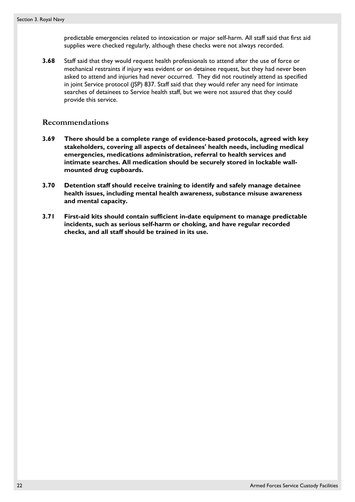predictable emergencies related to intoxication or major self-harm. All staff said that first aid supplies were checked regularly, although these checks were not always recorded.

**3.68** Staff said that they would request health professionals to attend after the use of force or mechanical restraints if injury was evident or on detainee request, but they had never been asked to attend and injuries had never occurred. They did not routinely attend as specified in joint Service protocol (JSP) 837. Staff said that they would refer any need for intimate searches of detainees to Service health staff, but we were not assured that they could provide this service.

#### **Recommendations**

- <span id="page-21-0"></span>**3.69 There should be a complete range of evidence-based protocols, agreed with key stakeholders, covering all aspects of detainees' health needs, including medical emergencies, medications administration, referral to health services and intimate searches. All medication should be securely stored in lockable wallmounted drug cupboards.**
- <span id="page-21-1"></span>**3.70 Detention staff should receive training to identify and safely manage detainee health issues, including mental health awareness, substance misuse awareness and mental capacity.**
- <span id="page-21-2"></span>**3.71 First-aid kits should contain sufficient in-date equipment to manage predictable incidents, such as serious self-harm or choking, and have regular recorded checks, and all staff should be trained in its use.**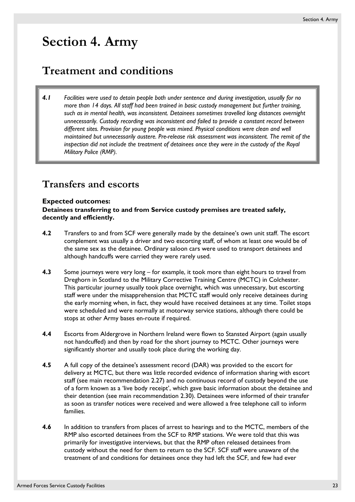## <span id="page-22-0"></span>**Section 4. Army**

### **Treatment and conditions**

*4.1 Facilities were used to detain people both under sentence and during investigation, usually for no more than 14 days. All staff had been trained in basic custody management but further training, such as in mental health, was inconsistent. Detainees sometimes travelled long distances overnight unnecessarily. Custody recording was inconsistent and failed to provide a constant record between different sites. Provision for young people was mixed. Physical conditions were clean and well maintained but unnecessarily austere. Pre-release risk assessment was inconsistent. The remit of the inspection did not include the treatment of detainees once they were in the custody of the Royal Military Police (RMP).* 

### **Transfers and escorts**

#### **Expected outcomes:**

**Detainees transferring to and from Service custody premises are treated safely, decently and efficiently.** 

- **4.2** Transfers to and from SCF were generally made by the detainee's own unit staff. The escort complement was usually a driver and two escorting staff, of whom at least one would be of the same sex as the detainee. Ordinary saloon cars were used to transport detainees and although handcuffs were carried they were rarely used.
- **4.3** Some journeys were very long for example, it took more than eight hours to travel from Dreghorn in Scotland to the Military Corrective Training Centre (MCTC) in Colchester. This particular journey usually took place overnight, which was unnecessary, but escorting staff were under the misapprehension that MCTC staff would only receive detainees during the early morning when, in fact, they would have received detainees at any time. Toilet stops were scheduled and were normally at motorway service stations, although there could be stops at other Army bases en-route if required.
- **4.4** Escorts from Aldergrove in Northern Ireland were flown to Stansted Airport (again usually not handcuffed) and then by road for the short journey to MCTC. Other journeys were significantly shorter and usually took place during the working day.
- **4.5** A full copy of the detainee's assessment record (DAR) was provided to the escort for delivery at MCTC, but there was little recorded evidence of information sharing with escort staff (see main recommendation [2.27\)](#page-10-0) and no continuous record of custody beyond the use of a form known as a 'live body receipt', which gave basic information about the detainee and their detention (see main recommendation [2.30\)](#page-11-2). Detainees were informed of their transfer as soon as transfer notices were received and were allowed a free telephone call to inform families.
- **4.6** In addition to transfers from places of arrest to hearings and to the MCTC, members of the RMP also escorted detainees from the SCF to RMP stations. We were told that this was primarily for investigative interviews, but that the RMP often released detainees from custody without the need for them to return to the SCF. SCF staff were unaware of the treatment of and conditions for detainees once they had left the SCF, and few had ever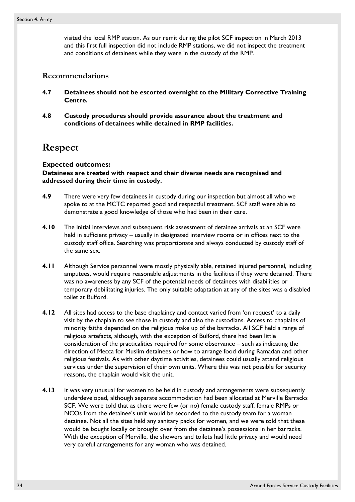visited the local RMP station. As our remit during the pilot SCF inspection in March 2013 and this first full inspection did not include RMP stations, we did not inspect the treatment and conditions of detainees while they were in the custody of the RMP.

#### **Recommendations**

- <span id="page-23-1"></span>**4.7 Detainees should not be escorted overnight to the Military Corrective Training Centre.**
- <span id="page-23-2"></span>**4.8 Custody procedures should provide assurance about the treatment and conditions of detainees while detained in RMP facilities.**

### **Respect**

#### **Expected outcomes:**

**Detainees are treated with respect and their diverse needs are recognised and addressed during their time in custody.** 

- **4.9** There were very few detainees in custody during our inspection but almost all who we spoke to at the MCTC reported good and respectful treatment. SCF staff were able to demonstrate a good knowledge of those who had been in their care.
- **4.10** The initial interviews and subsequent risk assessment of detainee arrivals at an SCF were held in sufficient privacy – usually in designated interview rooms or in offices next to the custody staff office. Searching was proportionate and always conducted by custody staff of the same sex.
- **4.11** Although Service personnel were mostly physically able, retained injured personnel, including amputees, would require reasonable adjustments in the facilities if they were detained. There was no awareness by any SCF of the potential needs of detainees with disabilities or temporary debilitating injuries. The only suitable adaptation at any of the sites was a disabled toilet at Bulford.
- **4.12** All sites had access to the base chaplaincy and contact varied from 'on request' to a daily visit by the chaplain to see those in custody and also the custodians. Access to chaplains of minority faiths depended on the religious make up of the barracks. All SCF held a range of religious artefacts, although, with the exception of Bulford, there had been little consideration of the practicalities required for some observance – such as indicating the direction of Mecca for Muslim detainees or how to arrange food during Ramadan and other religious festivals. As with other daytime activities, detainees could usually attend religious services under the supervision of their own units. Where this was not possible for security reasons, the chaplain would visit the unit.
- <span id="page-23-0"></span>**4.13** It was very unusual for women to be held in custody and arrangements were subsequently underdeveloped, although separate accommodation had been allocated at Merville Barracks SCF. We were told that as there were few (or no) female custody staff, female RMPs or NCOs from the detainee's unit would be seconded to the custody team for a woman detainee. Not all the sites held any sanitary packs for women, and we were told that these would be bought locally or brought over from the detainee's possessions in her barracks. With the exception of Merville, the showers and toilets had little privacy and would need very careful arrangements for any woman who was detained.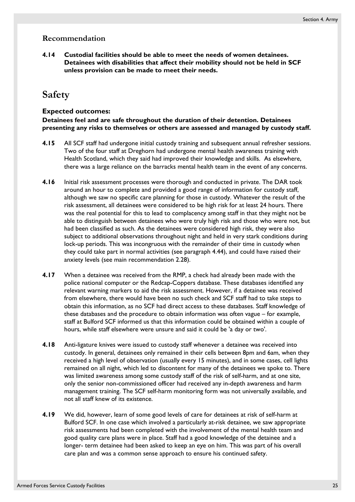#### **Recommendation**

<span id="page-24-1"></span>**4.14 Custodial facilities should be able to meet the needs of women detainees. Detainees with disabilities that affect their mobility should not be held in SCF unless provision can be made to meet their needs.**

### **Safety**

#### **Expected outcomes:**

**Detainees feel and are safe throughout the duration of their detention. Detainees presenting any risks to themselves or others are assessed and managed by custody staff.** 

- **4.15** All SCF staff had undergone initial custody training and subsequent annual refresher sessions. Two of the four staff at Dreghorn had undergone mental health awareness training with Health Scotland, which they said had improved their knowledge and skills. As elsewhere, there was a large reliance on the barracks mental health team in the event of any concerns.
- <span id="page-24-0"></span>**4.16** Initial risk assessment processes were thorough and conducted in private. The DAR took around an hour to complete and provided a good range of information for custody staff, although we saw no specific care planning for those in custody. Whatever the result of the risk assessment, all detainees were considered to be high risk for at least 24 hours. There was the real potential for this to lead to complacency among staff in that they might not be able to distinguish between detainees who were truly high risk and those who were not, but had been classified as such. As the detainees were considered high risk, they were also subject to additional observations throughout night and held in very stark conditions during lock-up periods. This was incongruous with the remainder of their time in custody when they could take part in normal activities (see paragraph [4.44](#page-28-0)), and could have raised their anxiety levels (see main recommendation [2.28\)](#page-11-0).
- **4.17** When a detainee was received from the RMP, a check had already been made with the police national computer or the Redcap-Coppers database. These databases identified any relevant warning markers to aid the risk assessment. However, if a detainee was received from elsewhere, there would have been no such check and SCF staff had to take steps to obtain this information, as no SCF had direct access to these databases. Staff knowledge of these databases and the procedure to obtain information was often vague – for example, staff at Bulford SCF informed us that this information could be obtained within a couple of hours, while staff elsewhere were unsure and said it could be 'a day or two'.
- **4.18** Anti-ligature knives were issued to custody staff whenever a detainee was received into custody. In general, detainees only remained in their cells between 8pm and 6am, when they received a high level of observation (usually every 15 minutes), and in some cases, cell lights remained on all night, which led to discontent for many of the detainees we spoke to. There was limited awareness among some custody staff of the risk of self-harm, and at one site, only the senior non-commissioned officer had received any in-depth awareness and harm management training. The SCF self-harm monitoring form was not universally available, and not all staff knew of its existence.
- **4.19** We did, however, learn of some good levels of care for detainees at risk of self-harm at Bulford SCF. In one case which involved a particularly at-risk detainee, we saw appropriate risk assessments had been completed with the involvement of the mental health team and good quality care plans were in place. Staff had a good knowledge of the detainee and a longer- term detainee had been asked to keep an eye on him. This was part of his overall care plan and was a common sense approach to ensure his continued safety.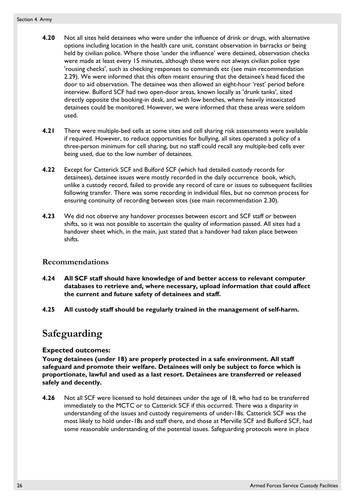- **4.20** Not all sites held detainees who were under the influence of drink or drugs, with alternative options including location in the health care unit, constant observation in barracks or being held by civilian police. Where those 'under the influence' were detained, observation checks were made at least every 15 minutes, although these were not always civilian police type 'rousing checks', such as checking responses to commands etc (see main recommendation [2.29\)](#page-11-1). We were informed that this often meant ensuring that the detainee's head faced the door to aid observation. The detainee was then allowed an eight-hour 'rest' period before interview. Bulford SCF had two open-door areas, known locally as 'drunk tanks', sited directly opposite the booking-in desk, and with low benches, where heavily intoxicated detainees could be monitored. However, we were informed that these areas were seldom used.
- **4.21** There were multiple-bed cells at some sites and cell sharing risk assessments were available if required. However, to reduce opportunities for bullying, all sites operated a policy of a three-person minimum for cell sharing, but no staff could recall any multiple-bed cells ever being used, due to the low number of detainees.
- **4.22** Except for Catterick SCF and Bulford SCF (which had detailed custody records for detainees), detainee issues were mostly recorded in the daily occurrence book, which, unlike a custody record, failed to provide any record of care or issues to subsequent facilities following transfer. There was some recording in individual files, but no common process for ensuring continuity of recording between sites (see main recommendation [2.30\)](#page-11-2).
- **4.23** We did not observe any handover processes between escort and SCF staff or between shifts, so it was not possible to ascertain the quality of information passed. All sites had a handover sheet which, in the main, just stated that a handover had taken place between shifts.

#### **Recommendations**

- <span id="page-25-0"></span>**4.24 All SCF staff should have knowledge of and better access to relevant computer databases to retrieve and, where necessary, upload information that could affect the current and future safety of detainees and staff.**
- <span id="page-25-1"></span>**4.25 All custody staff should be regularly trained in the management of self-harm.**

### **Safeguarding**

#### **Expected outcomes:**

**Young detainees (under 18) are properly protected in a safe environment. All staff safeguard and promote their welfare. Detainees will only be subject to force which is proportionate, lawful and used as a last resort. Detainees are transferred or released safely and decently.** 

**4.26** Not all SCF were licensed to hold detainees under the age of 18, who had to be transferred immediately to the MCTC or to Catterick SCF if this occurred. There was a disparity in understanding of the issues and custody requirements of under-18s. Catterick SCF was the most likely to hold under-18s and staff there, and those at Merville SCF and Bulford SCF, had some reasonable understanding of the potential issues. Safeguarding protocols were in place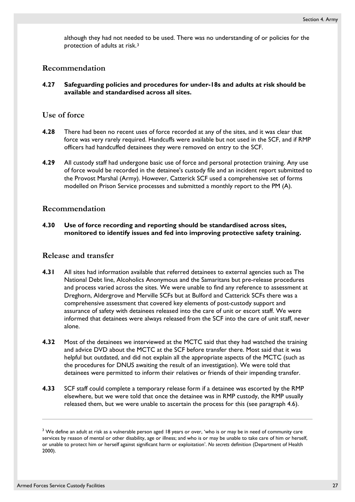although they had not needed to be used. There was no understanding of or policies for the protection of adults at risk.3

#### **Recommendation**

<span id="page-26-1"></span>**4.27 Safeguarding policies and procedures for under-18s and adults at risk should be available and standardised across all sites.** 

#### **Use of force**

- **4.28** There had been no recent uses of force recorded at any of the sites, and it was clear that force was very rarely required. Handcuffs were available but not used in the SCF, and if RMP officers had handcuffed detainees they were removed on entry to the SCF.
- **4.29** All custody staff had undergone basic use of force and personal protection training. Any use of force would be recorded in the detainee's custody file and an incident report submitted to the Provost Marshal (Army). However, Catterick SCF used a comprehensive set of forms modelled on Prison Service processes and submitted a monthly report to the PM (A).

#### **Recommendation**

<span id="page-26-2"></span>**4.30 Use of force recording and reporting should be standardised across sites, monitored to identify issues and fed into improving protective safety training.** 

#### **Release and transfer**

- **4.31** All sites had information available that referred detainees to external agencies such as The National Debt line, Alcoholics Anonymous and the Samaritans but pre-release procedures and process varied across the sites. We were unable to find any reference to assessment at Dreghorn, Aldergrove and Merville SCFs but at Bulford and Catterick SCFs there was a comprehensive assessment that covered key elements of post-custody support and assurance of safety with detainees released into the care of unit or escort staff. We were informed that detainees were always released from the SCF into the care of unit staff, never alone.
- <span id="page-26-0"></span>**4.32** Most of the detainees we interviewed at the MCTC said that they had watched the training and advice DVD about the MCTC at the SCF before transfer there. Most said that it was helpful but outdated, and did not explain all the appropriate aspects of the MCTC (such as the procedures for DNUS awaiting the result of an investigation). We were told that detainees were permitted to inform their relatives or friends of their impending transfer.
- **4.33** SCF staff could complete a temporary release form if a detainee was escorted by the RMP elsewhere, but we were told that once the detainee was in RMP custody, the RMP usually released them, but we were unable to ascertain the process for this (see paragraph [4.6\)](#page-23-0).

 $\overline{a}$ 

 $3$  We define an adult at risk as a vulnerable person aged 18 years or over, 'who is or may be in need of community care services by reason of mental or other disability, age or illness; and who is or may be unable to take care of him or herself, or unable to protect him or herself against significant harm or exploitation'. *No secrets* definition (Department of Health 2000).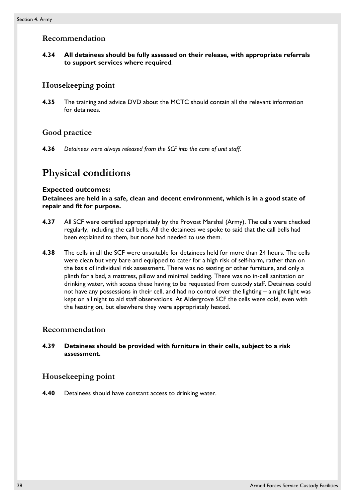#### **Recommendation**

#### <span id="page-27-0"></span>**4.34 All detainees should be fully assessed on their release, with appropriate referrals to support services where required***.*

#### **Housekeeping point**

<span id="page-27-2"></span>**4.35** The training and advice DVD about the MCTC should contain all the relevant information for detainees.

#### **Good practice**

<span id="page-27-4"></span>**4.36** *Detainees were always released from the SCF into the care of unit staff.* 

### **Physical conditions**

#### **Expected outcomes:**

**Detainees are held in a safe, clean and decent environment, which is in a good state of repair and fit for purpose.** 

- **4.37** All SCF were certified appropriately by the Provost Marshal (Army). The cells were checked regularly, including the call bells. All the detainees we spoke to said that the call bells had been explained to them, but none had needed to use them.
- **4.38** The cells in all the SCF were unsuitable for detainees held for more than 24 hours. The cells were clean but very bare and equipped to cater for a high risk of self-harm, rather than on the basis of individual risk assessment. There was no seating or other furniture, and only a plinth for a bed, a mattress, pillow and minimal bedding. There was no in-cell sanitation or drinking water, with access these having to be requested from custody staff. Detainees could not have any possessions in their cell, and had no control over the lighting – a night light was kept on all night to aid staff observations. At Aldergrove SCF the cells were cold, even with the heating on, but elsewhere they were appropriately heated.

#### **Recommendation**

<span id="page-27-1"></span>**4.39 Detainees should be provided with furniture in their cells, subject to a risk assessment.** 

#### **Housekeeping point**

<span id="page-27-3"></span>**4.40** Detainees should have constant access to drinking water.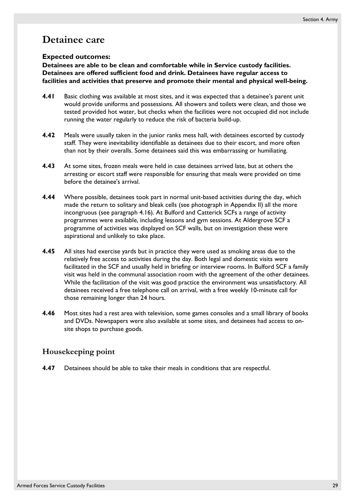### **Detainee care**

#### **Expected outcomes:**

**Detainees are able to be clean and comfortable while in Service custody facilities. Detainees are offered sufficient food and drink. Detainees have regular access to facilities and activities that preserve and promote their mental and physical well-being.** 

- **4.41** Basic clothing was available at most sites, and it was expected that a detainee's parent unit would provide uniforms and possessions. All showers and toilets were clean, and those we tested provided hot water, but checks when the facilities were not occupied did not include running the water regularly to reduce the risk of bacteria build-up.
- **4.42** Meals were usually taken in the junior ranks mess hall, with detainees escorted by custody staff. They were inevitability identifiable as detainees due to their escort, and more often than not by their overalls. Some detainees said this was embarrassing or humiliating.
- **4.43** At some sites, frozen meals were held in case detainees arrived late, but at others the arresting or escort staff were responsible for ensuring that meals were provided on time before the detainee's arrival.
- <span id="page-28-0"></span>**4.44** Where possible, detainees took part in normal unit-based activities during the day, which made the return to solitary and bleak cells (see photograph in Appendix II) all the more incongruous (see paragraph [4.16\)](#page-24-0). At Bulford and Catterick SCFs a range of activity programmes were available, including lessons and gym sessions. At Aldergrove SCF a programme of activities was displayed on SCF walls, but on investigation these were aspirational and unlikely to take place.
- **4.45** All sites had exercise yards but in practice they were used as smoking areas due to the relatively free access to activities during the day. Both legal and domestic visits were facilitated in the SCF and usually held in briefing or interview rooms. In Bulford SCF a family visit was held in the communal association room with the agreement of the other detainees. While the facilitation of the visit was good practice the environment was unsatisfactory. All detainees received a free telephone call on arrival, with a free weekly 10-minute call for those remaining longer than 24 hours.
- **4.46** Most sites had a rest area with television, some games consoles and a small library of books and DVDs. Newspapers were also available at some sites, and detainees had access to onsite shops to purchase goods.

#### **Housekeeping point**

<span id="page-28-1"></span>**4.47** Detainees should be able to take their meals in conditions that are respectful.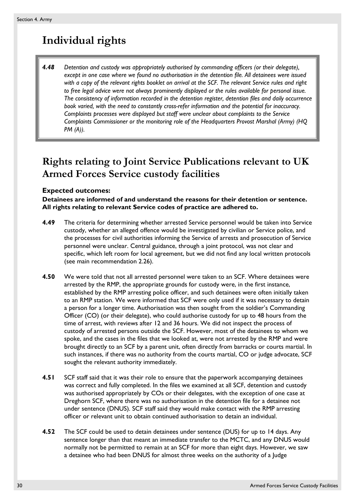## **Individual rights**

*4.48 Detention and custody was appropriately authorised by commanding officers (or their delegate), except in one case where we found no authorisation in the detention file. All detainees were issued with a copy of the relevant rights booklet on arrival at the SCF. The relevant Service rules and right to free legal advice were not always prominently displayed or the rules available for personal issue. The consistency of information recorded in the detention register, detention files and daily occurrence book varied, with the need to constantly cross-refer information and the potential for inaccuracy. Complaints processes were displayed but staff were unclear about complaints to the Service Complaints Commissioner or the monitoring role of the Headquarters Provost Marshal (Army) (HQ PM (A)).* 

### **Rights relating to Joint Service Publications relevant to UK Armed Forces Service custody facilities**

#### **Expected outcomes:**

**Detainees are informed of and understand the reasons for their detention or sentence. All rights relating to relevant Service codes of practice are adhered to.** 

- **4.49** The criteria for determining whether arrested Service personnel would be taken into Service custody, whether an alleged offence would be investigated by civilian or Service police, and the processes for civil authorities informing the Service of arrests and prosecution of Service personnel were unclear. Central guidance, through a joint protocol, was not clear and specific, which left room for local agreement, but we did not find any local written protocols (see main recommendation [2.26](#page-10-1)).
- **4.50** We were told that not all arrested personnel were taken to an SCF. Where detainees were arrested by the RMP, the appropriate grounds for custody were, in the first instance, established by the RMP arresting police officer, and such detainees were often initially taken to an RMP station. We were informed that SCF were only used if it was necessary to detain a person for a longer time. Authorisation was then sought from the soldier's Commanding Officer (CO) (or their delegate), who could authorise custody for up to 48 hours from the time of arrest, with reviews after 12 and 36 hours. We did not inspect the process of custody of arrested persons outside the SCF. However, most of the detainees to whom we spoke, and the cases in the files that we looked at, were not arrested by the RMP and were brought directly to an SCF by a parent unit, often directly from barracks or courts martial. In such instances, if there was no authority from the courts martial, CO or judge advocate, SCF sought the relevant authority immediately.
- **4.51** SCF staff said that it was their role to ensure that the paperwork accompanying detainees was correct and fully completed. In the files we examined at all SCF, detention and custody was authorised appropriately by COs or their delegates, with the exception of one case at Dreghorn SCF, where there was no authorisation in the detention file for a detainee not under sentence (DNUS). SCF staff said they would make contact with the RMP arresting officer or relevant unit to obtain continued authorisation to detain an individual.
- **4.52** The SCF could be used to detain detainees under sentence (DUS) for up to 14 days. Any sentence longer than that meant an immediate transfer to the MCTC, and any DNUS would normally not be permitted to remain at an SCF for more than eight days. However, we saw a detainee who had been DNUS for almost three weeks on the authority of a Judge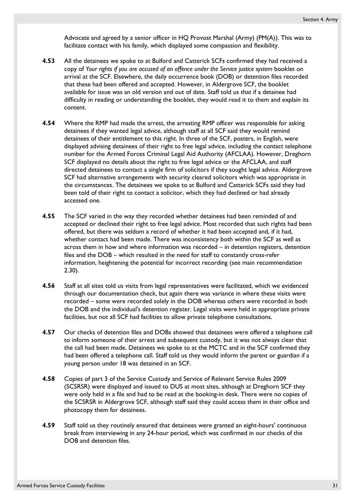Advocate and agreed by a senior officer in HQ Provost Marshal (Army) (PM(A)). This was to facilitate contact with his family, which displayed some compassion and flexibility.

- **4.53** All the detainees we spoke to at Bulford and Catterick SCFs confirmed they had received a copy of *Your rights if you are accused of an offence under the Service justice system* booklet on arrival at the SCF. Elsewhere, the daily occurrence book (DOB) or detention files recorded that these had been offered and accepted. However, in Aldergrove SCF, the booklet available for issue was an old version and out of date. Staff told us that if a detainee had difficulty in reading or understanding the booklet, they would read it to them and explain its content.
- **4.54** Where the RMP had made the arrest, the arresting RMP officer was responsible for asking detainees if they wanted legal advice, although staff at all SCF said they would remind detainees of their entitlement to this right. In three of the SCF, posters, in English, were displayed advising detainees of their right to free legal advice, including the contact telephone number for the Armed Forces Criminal Legal Aid Authority (AFCLAA). However, Dreghorn SCF displayed no details about the right to free legal advice or the AFCLAA, and staff directed detainees to contact a single firm of solicitors if they sought legal advice. Aldergrove SCF had alternative arrangements with security cleared solicitors which was appropriate in the circumstances. The detainees we spoke to at Bulford and Catterick SCFs said they had been told of their right to contact a solicitor, which they had declined or had already accessed one.
- **4.55** The SCF varied in the way they recorded whether detainees had been reminded of and accepted or declined their right to free legal advice. Most recorded that such rights had been offered, but there was seldom a record of whether it had been accepted and, if it had, whether contact had been made. There was inconsistency both within the SCF as well as across them in how and where information was recorded – in detention registers, detention files and the DOB – which resulted in the need for staff to constantly cross-refer information, heightening the potential for incorrect recording (see main recommendation [2.30\)](#page-11-2).
- **4.56** Staff at all sites told us visits from legal representatives were facilitated, which we evidenced through our documentation check, but again there was variance in where these visits were recorded – some were recorded solely in the DOB whereas others were recorded in both the DOB and the individual's detention register. Legal visits were held in appropriate private facilities, but not all SCF had facilities to allow private telephone consultations.
- **4.57** Our checks of detention files and DOBs showed that detainees were offered a telephone call to inform someone of their arrest and subsequent custody, but it was not always clear that the call had been made. Detainees we spoke to at the MCTC and in the SCF confirmed they had been offered a telephone call. Staff told us they would inform the parent or guardian if a young person under 18 was detained in an SCF.
- **4.58** Copies of part 3 of the Service Custody and Service of Relevant Service Rules 2009 (SCSRSR) were displayed and issued to DUS at most sites, although at Dreghorn SCF they were only held in a file and had to be read at the booking-in desk. There were no copies of the SCSRSR in Aldergrove SCF, although staff said they could access them in their office and photocopy them for detainees.
- **4.59** Staff told us they routinely ensured that detainees were granted an eight-hours' continuous break from interviewing in any 24-hour period, which was confirmed in our checks of the DOB and detention files.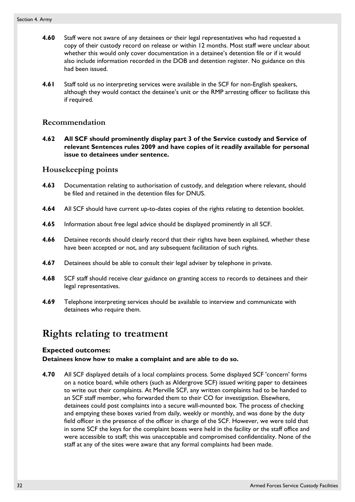- **4.60** Staff were not aware of any detainees or their legal representatives who had requested a copy of their custody record on release or within 12 months. Most staff were unclear about whether this would only cover documentation in a detainee's detention file or if it would also include information recorded in the DOB and detention register. No guidance on this had been issued.
- **4.61** Staff told us no interpreting services were available in the SCF for non-English speakers, although they would contact the detainee's unit or the RMP arresting officer to facilitate this if required.

#### **Recommendation**

<span id="page-31-0"></span>**4.62 All SCF should prominently display part 3 of the Service custody and Service of relevant Sentences rules 2009 and have copies of it readily available for personal issue to detainees under sentence.** 

#### **Housekeeping points**

- <span id="page-31-1"></span>**4.63** Documentation relating to authorisation of custody, and delegation where relevant, should be filed and retained in the detention files for DNUS.
- <span id="page-31-2"></span>**4.64** All SCF should have current up-to-dates copies of the rights relating to detention booklet.
- <span id="page-31-3"></span>**4.65** Information about free legal advice should be displayed prominently in all SCF.
- <span id="page-31-4"></span>**4.66** Detainee records should clearly record that their rights have been explained, whether these have been accepted or not, and any subsequent facilitation of such rights.
- <span id="page-31-5"></span>**4.67** Detainees should be able to consult their legal adviser by telephone in private.
- <span id="page-31-6"></span>**4.68** SCF staff should receive clear guidance on granting access to records to detainees and their legal representatives.
- <span id="page-31-7"></span>**4.69** Telephone interpreting services should be available to interview and communicate with detainees who require them.

### **Rights relating to treatment**

#### **Expected outcomes:**

**Detainees know how to make a complaint and are able to do so.** 

**4.70** All SCF displayed details of a local complaints process. Some displayed SCF 'concern' forms on a notice board, while others (such as Aldergrove SCF) issued writing paper to detainees to write out their complaints. At Merville SCF, any written complaints had to be handed to an SCF staff member, who forwarded them to their CO for investigation. Elsewhere, detainees could post complaints into a secure wall-mounted box. The process of checking and emptying these boxes varied from daily, weekly or monthly, and was done by the duty field officer in the presence of the officer in charge of the SCF. However, we were told that in some SCF the keys for the complaint boxes were held in the facility or the staff office and were accessible to staff; this was unacceptable and compromised confidentiality. None of the staff at any of the sites were aware that any formal complaints had been made.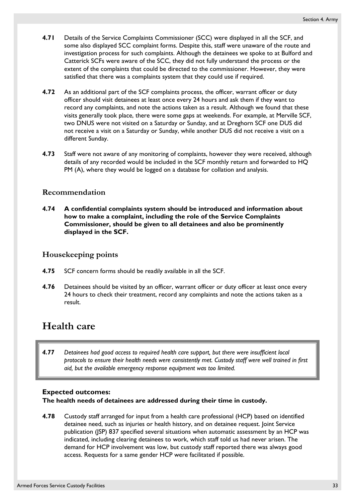- **4.71** Details of the Service Complaints Commissioner (SCC) were displayed in all the SCF, and some also displayed SCC complaint forms. Despite this, staff were unaware of the route and investigation process for such complaints. Although the detainees we spoke to at Bulford and Catterick SCFs were aware of the SCC, they did not fully understand the process or the extent of the complaints that could be directed to the commissioner. However, they were satisfied that there was a complaints system that they could use if required.
- **4.72** As an additional part of the SCF complaints process, the officer, warrant officer or duty officer should visit detainees at least once every 24 hours and ask them if they want to record any complaints, and note the actions taken as a result. Although we found that these visits generally took place, there were some gaps at weekends. For example, at Merville SCF, two DNUS were not visited on a Saturday or Sunday, and at Dreghorn SCF one DUS did not receive a visit on a Saturday or Sunday, while another DUS did not receive a visit on a different Sunday.
- **4.73** Staff were not aware of any monitoring of complaints, however they were received, although details of any recorded would be included in the SCF monthly return and forwarded to HQ PM (A), where they would be logged on a database for collation and analysis.

#### **Recommendation**

<span id="page-32-0"></span>**4.74 A confidential complaints system should be introduced and information about how to make a complaint, including the role of the Service Complaints Commissioner, should be given to all detainees and also be prominently displayed in the SCF.** 

#### **Housekeeping points**

- <span id="page-32-1"></span>**4.75** SCF concern forms should be readily available in all the SCF.
- <span id="page-32-2"></span>**4.76** Detainees should be visited by an officer, warrant officer or duty officer at least once every 24 hours to check their treatment, record any complaints and note the actions taken as a result.

### **Health care**

*4.77 Detainees had good access to required health care support, but there were insufficient local protocols to ensure their health needs were consistently met. Custody staff were well trained in first aid, but the available emergency response equipment was too limited.* 

#### **Expected outcomes:**

**The health needs of detainees are addressed during their time in custody.** 

**4.78** Custody staff arranged for input from a health care professional (HCP) based on identified detainee need, such as injuries or health history, and on detainee request. Joint Service publication (JSP) 837 specified several situations when automatic assessment by an HCP was indicated, including clearing detainees to work, which staff told us had never arisen. The demand for HCP involvement was low, but custody staff reported there was always good access. Requests for a same gender HCP were facilitated if possible.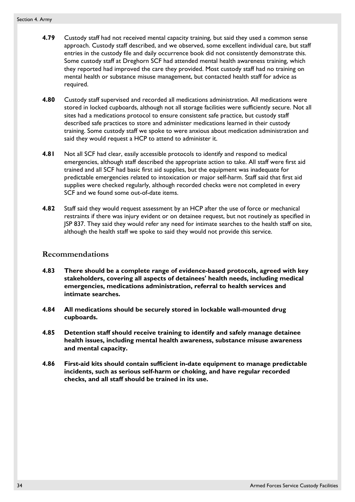- **4.79** Custody staff had not received mental capacity training, but said they used a common sense approach. Custody staff described, and we observed, some excellent individual care, but staff entries in the custody file and daily occurrence book did not consistently demonstrate this. Some custody staff at Dreghorn SCF had attended mental health awareness training, which they reported had improved the care they provided. Most custody staff had no training on mental health or substance misuse management, but contacted health staff for advice as required.
- **4.80** Custody staff supervised and recorded all medications administration. All medications were stored in locked cupboards, although not all storage facilities were sufficiently secure. Not all sites had a medications protocol to ensure consistent safe practice, but custody staff described safe practices to store and administer medications learned in their custody training. Some custody staff we spoke to were anxious about medication administration and said they would request a HCP to attend to administer it.
- **4.81** Not all SCF had clear, easily accessible protocols to identify and respond to medical emergencies, although staff described the appropriate action to take. All staff were first aid trained and all SCF had basic first aid supplies, but the equipment was inadequate for predictable emergencies related to intoxication or major self-harm. Staff said that first aid supplies were checked regularly, although recorded checks were not completed in every SCF and we found some out-of-date items.
- **4.82** Staff said they would request assessment by an HCP after the use of force or mechanical restraints if there was injury evident or on detainee request, but not routinely as specified in JSP 837. They said they would refer any need for intimate searches to the health staff on site, although the health staff we spoke to said they would not provide this service.

#### **Recommendations**

- <span id="page-33-0"></span>**4.83 There should be a complete range of evidence-based protocols, agreed with key stakeholders, covering all aspects of detainees' health needs, including medical emergencies, medications administration, referral to health services and intimate searches.**
- <span id="page-33-1"></span>**4.84 All medications should be securely stored in lockable wall-mounted drug cupboards.**
- <span id="page-33-2"></span>**4.85 Detention staff should receive training to identify and safely manage detainee health issues, including mental health awareness, substance misuse awareness and mental capacity.**
- <span id="page-33-3"></span>**4.86 First-aid kits should contain sufficient in-date equipment to manage predictable incidents, such as serious self-harm or choking, and have regular recorded checks, and all staff should be trained in its use.**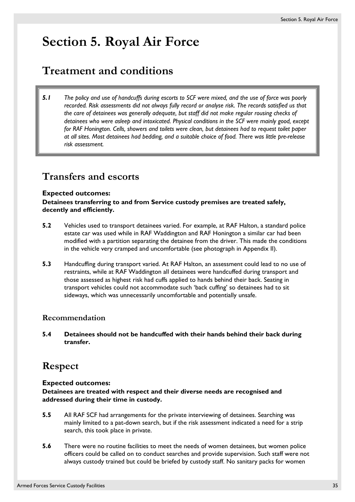# <span id="page-34-0"></span>**Section 5. Royal Air Force**

### **Treatment and conditions**

*5.1 The policy and use of handcuffs during escorts to SCF were mixed, and the use of force was poorly recorded. Risk assessments did not always fully record or analyse risk. The records satisfied us that the care of detainees was generally adequate, but staff did not make regular rousing checks of detainees who were asleep and intoxicated. Physical conditions in the SCF were mainly good, except for RAF Honington. Cells, showers and toilets were clean, but detainees had to request toilet paper at all sites. Most detainees had bedding, and a suitable choice of food. There was little pre-release risk assessment.* 

### **Transfers and escorts**

#### **Expected outcomes:**

**Detainees transferring to and from Service custody premises are treated safely, decently and efficiently.** 

- **5.2** Vehicles used to transport detainees varied. For example, at RAF Halton, a standard police estate car was used while in RAF Waddington and RAF Honington a similar car had been modified with a partition separating the detainee from the driver. This made the conditions in the vehicle very cramped and uncomfortable (see photograph in Appendix II).
- <span id="page-34-1"></span>**5.3** Handcuffing during transport varied. At RAF Halton, an assessment could lead to no use of restraints, while at RAF Waddington all detainees were handcuffed during transport and those assessed as highest risk had cuffs applied to hands behind their back. Seating in transport vehicles could not accommodate such 'back cuffing' so detainees had to sit sideways, which was unnecessarily uncomfortable and potentially unsafe.

### **Recommendation**

<span id="page-34-2"></span>**5.4 Detainees should not be handcuffed with their hands behind their back during transfer.** 

### **Respect**

#### **Expected outcomes:**

**Detainees are treated with respect and their diverse needs are recognised and addressed during their time in custody.** 

- **5.5** All RAF SCF had arrangements for the private interviewing of detainees. Searching was mainly limited to a pat-down search, but if the risk assessment indicated a need for a strip search, this took place in private.
- **5.6** There were no routine facilities to meet the needs of women detainees, but women police officers could be called on to conduct searches and provide supervision. Such staff were not always custody trained but could be briefed by custody staff. No sanitary packs for women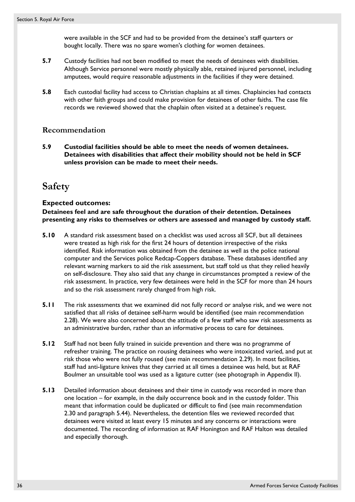were available in the SCF and had to be provided from the detainee's staff quarters or bought locally. There was no spare women's clothing for women detainees.

- **5.7** Custody facilities had not been modified to meet the needs of detainees with disabilities. Although Service personnel were mostly physically able, retained injured personnel, including amputees, would require reasonable adjustments in the facilities if they were detained.
- **5.8** Each custodial facility had access to Christian chaplains at all times. Chaplaincies had contacts with other faith groups and could make provision for detainees of other faiths. The case file records we reviewed showed that the chaplain often visited at a detainee's request.

#### **Recommendation**

<span id="page-35-0"></span>**5.9 Custodial facilities should be able to meet the needs of women detainees. Detainees with disabilities that affect their mobility should not be held in SCF unless provision can be made to meet their needs.**

### **Safety**

#### **Expected outcomes:**

**Detainees feel and are safe throughout the duration of their detention. Detainees presenting any risks to themselves or others are assessed and managed by custody staff.** 

- **5.10** A standard risk assessment based on a checklist was used across all SCF, but all detainees were treated as high risk for the first 24 hours of detention irrespective of the risks identified. Risk information was obtained from the detainee as well as the police national computer and the Services police Redcap-Coppers database. These databases identified any relevant warning markers to aid the risk assessment, but staff told us that they relied heavily on self-disclosure. They also said that any change in circumstances prompted a review of the risk assessment. In practice, very few detainees were held in the SCF for more than 24 hours and so the risk assessment rarely changed from high risk.
- **5.11** The risk assessments that we examined did not fully record or analyse risk, and we were not satisfied that all risks of detainee self-harm would be identified (see main recommendation [2.28\)](#page-11-0). We were also concerned about the attitude of a few staff who saw risk assessments as an administrative burden, rather than an informative process to care for detainees.
- **5.12** Staff had not been fully trained in suicide prevention and there was no programme of refresher training. The practice on rousing detainees who were intoxicated varied, and put at risk those who were not fully roused (see main recommendation [2.29](#page-11-1)). In most facilities, staff had anti-ligature knives that they carried at all times a detainee was held, but at RAF Boulmer an unsuitable tool was used as a ligature cutter (see photograph in Appendix II).
- **5.13** Detailed information about detainees and their time in custody was recorded in more than one location – for example, in the daily occurrence book and in the custody folder. This meant that information could be duplicated or difficult to find (see main recommendation [2.30](#page-11-2) and paragraph [5.44\)](#page-40-0). Nevertheless, the detention files we reviewed recorded that detainees were visited at least every 15 minutes and any concerns or interactions were documented. The recording of information at RAF Honington and RAF Halton was detailed and especially thorough.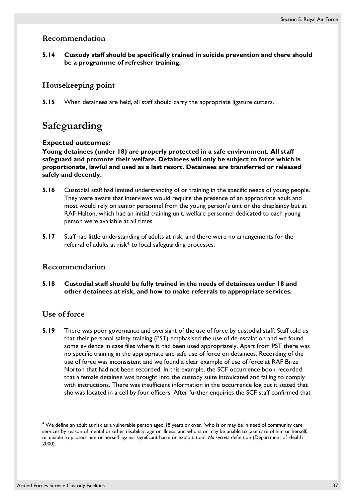#### **Recommendation**

<span id="page-36-1"></span>**5.14 Custody staff should be specifically trained in suicide prevention and there should be a programme of refresher training.** 

#### **Housekeeping point**

<span id="page-36-3"></span>**5.15** When detainees are held, all staff should carry the appropriate ligature cutters.

### **Safeguarding**

#### **Expected outcomes:**

**Young detainees (under 18) are properly protected in a safe environment. All staff safeguard and promote their welfare. Detainees will only be subject to force which is proportionate, lawful and used as a last resort. Detainees are transferred or released safely and decently.** 

- **5.16** Custodial staff had limited understanding of or training in the specific needs of young people. They were aware that interviews would require the presence of an appropriate adult and most would rely on senior personnel from the young person's unit or the chaplaincy but at RAF Halton, which had an initial training unit, welfare personnel dedicated to each young person were available at all times.
- **5.17** Staff had little understanding of adults at risk, and there were no arrangements for the referral of adults at risk<sup>[4](#page-36-0)</sup> to local safeguarding processes.

#### **Recommendation**

<span id="page-36-2"></span>**5.18 Custodial staff should be fully trained in the needs of detainees under 18 and other detainees at risk, and how to make referrals to appropriate services.** 

#### **Use of force**

**5.19** There was poor governance and oversight of the use of force by custodial staff. Staff told us that their personal safety training (PST) emphasised the use of de-escalation and we found some evidence in case files where it had been used appropriately. Apart from PST there was no specific training in the appropriate and safe use of force on detainees. Recording of the use of force was inconsistent and we found a clear example of use of force at RAF Brize Norton that had not been recorded. In this example, the SCF occurrence book recorded that a female detainee was brought into the custody suite intoxicated and failing to comply with instructions. There was insufficient information in the occurrence log but it stated that she was located in a cell by four officers. After further enquiries the SCF staff confirmed that

 $\overline{a}$ 

<span id="page-36-0"></span><sup>&</sup>lt;sup>4</sup> We define an adult at risk as a vulnerable person aged 18 years or over, 'who is or may be in need of community care services by reason of mental or other disability, age or illness; and who is or may be unable to take care of him or herself, or unable to protect him or herself against significant harm or exploitation'. *No secrets* definition (Department of Health 2000).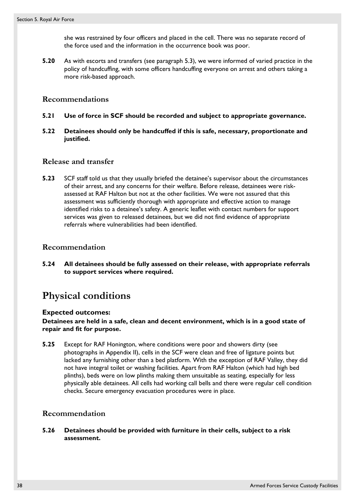she was restrained by four officers and placed in the cell. There was no separate record of the force used and the information in the occurrence book was poor.

**5.20** As with escorts and transfers (see paragraph [5.3](#page-34-1)), we were informed of varied practice in the policy of handcuffing, with some officers handcuffing everyone on arrest and others taking a more risk-based approach.

#### **Recommendations**

- <span id="page-37-0"></span>**5.21 Use of force in SCF should be recorded and subject to appropriate governance.**
- <span id="page-37-1"></span>**5.22 Detainees should only be handcuffed if this is safe, necessary, proportionate and justified.**

#### **Release and transfer**

**5.23** SCF staff told us that they usually briefed the detainee's supervisor about the circumstances of their arrest, and any concerns for their welfare. Before release, detainees were riskassessed at RAF Halton but not at the other facilities. We were not assured that this assessment was sufficiently thorough with appropriate and effective action to manage identified risks to a detainee's safety. A generic leaflet with contact numbers for support services was given to released detainees, but we did not find evidence of appropriate referrals where vulnerabilities had been identified.

#### **Recommendation**

<span id="page-37-2"></span>**5.24 All detainees should be fully assessed on their release, with appropriate referrals to support services where required.**

### **Physical conditions**

#### **Expected outcomes:**

**Detainees are held in a safe, clean and decent environment, which is in a good state of repair and fit for purpose.** 

**5.25** Except for RAF Honington, where conditions were poor and showers dirty (see photographs in Appendix II), cells in the SCF were clean and free of ligature points but lacked any furnishing other than a bed platform. With the exception of RAF Valley, they did not have integral toilet or washing facilities. Apart from RAF Halton (which had high bed plinths), beds were on low plinths making them unsuitable as seating, especially for less physically able detainees. All cells had working call bells and there were regular cell condition checks. Secure emergency evacuation procedures were in place.

#### **Recommendation**

<span id="page-37-3"></span>**5.26 Detainees should be provided with furniture in their cells, subject to a risk assessment.**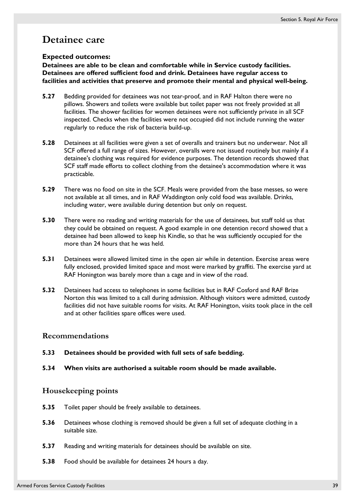### **Detainee care**

#### **Expected outcomes:**

**Detainees are able to be clean and comfortable while in Service custody facilities. Detainees are offered sufficient food and drink. Detainees have regular access to facilities and activities that preserve and promote their mental and physical well-being.** 

- **5.27** Bedding provided for detainees was not tear-proof, and in RAF Halton there were no pillows. Showers and toilets were available but toilet paper was not freely provided at all facilities. The shower facilities for women detainees were not sufficiently private in all SCF inspected. Checks when the facilities were not occupied did not include running the water regularly to reduce the risk of bacteria build-up.
- **5.28** Detainees at all facilities were given a set of overalls and trainers but no underwear. Not all SCF offered a full range of sizes. However, overalls were not issued routinely but mainly if a detainee's clothing was required for evidence purposes. The detention records showed that SCF staff made efforts to collect clothing from the detainee's accommodation where it was practicable.
- **5.29** There was no food on site in the SCF. Meals were provided from the base messes, so were not available at all times, and in RAF Waddington only cold food was available. Drinks, including water, were available during detention but only on request.
- **5.30** There were no reading and writing materials for the use of detainees, but staff told us that they could be obtained on request. A good example in one detention record showed that a detainee had been allowed to keep his Kindle, so that he was sufficiently occupied for the more than 24 hours that he was held.
- **5.31** Detainees were allowed limited time in the open air while in detention. Exercise areas were fully enclosed, provided limited space and most were marked by graffiti. The exercise yard at RAF Honington was barely more than a cage and in view of the road.
- **5.32** Detainees had access to telephones in some facilities but in RAF Cosford and RAF Brize Norton this was limited to a call during admission. Although visitors were admitted, custody facilities did not have suitable rooms for visits. At RAF Honington, visits took place in the cell and at other facilities spare offices were used.

### **Recommendations**

- <span id="page-38-0"></span>**5.33 Detainees should be provided with full sets of safe bedding.**
- <span id="page-38-1"></span>**5.34 When visits are authorised a suitable room should be made available.**

#### **Housekeeping points**

- <span id="page-38-2"></span>**5.35** Toilet paper should be freely available to detainees.
- <span id="page-38-3"></span>**5.36** Detainees whose clothing is removed should be given a full set of adequate clothing in a suitable size.
- <span id="page-38-4"></span>**5.37** Reading and writing materials for detainees should be available on site.
- <span id="page-38-5"></span>**5.38** Food should be available for detainees 24 hours a day.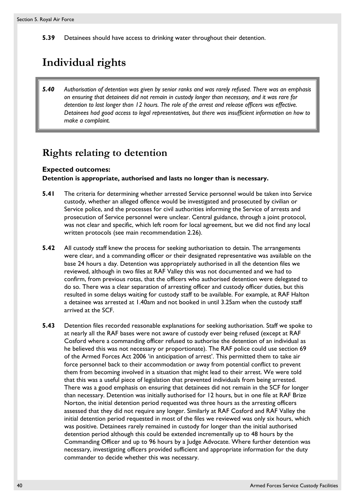<span id="page-39-0"></span>**5.39** Detainees should have access to drinking water throughout their detention.

### **Individual rights**

*5.40 Authorisation of detention was given by senior ranks and was rarely refused. There was an emphasis on ensuring that detainees did not remain in custody longer than necessary, and it was rare for detention to last longer than 12 hours. The role of the arrest and release officers was effective. Detainees had good access to legal representatives, but there was insufficient information on how to make a complaint.* 

### **Rights relating to detention**

#### **Expected outcomes:**

**Detention is appropriate, authorised and lasts no longer than is necessary.** 

- **5.41** The criteria for determining whether arrested Service personnel would be taken into Service custody, whether an alleged offence would be investigated and prosecuted by civilian or Service police, and the processes for civil authorities informing the Service of arrests and prosecution of Service personnel were unclear. Central guidance, through a joint protocol, was not clear and specific, which left room for local agreement, but we did not find any local written protocols (see main recommendation [2.26\)](#page-10-1).
- **5.42** All custody staff knew the process for seeking authorisation to detain. The arrangements were clear, and a commanding officer or their designated representative was available on the base 24 hours a day. Detention was appropriately authorised in all the detention files we reviewed, although in two files at RAF Valley this was not documented and we had to confirm, from previous rotas, that the officers who authorised detention were delegated to do so. There was a clear separation of arresting officer and custody officer duties, but this resulted in some delays waiting for custody staff to be available. For example, at RAF Halton a detainee was arrested at 1.40am and not booked in until 3.25am when the custody staff arrived at the SCF.
- **5.43** Detention files recorded reasonable explanations for seeking authorisation. Staff we spoke to at nearly all the RAF bases were not aware of custody ever being refused (except at RAF Cosford where a commanding officer refused to authorise the detention of an individual as he believed this was not necessary or proportionate). The RAF police could use section 69 of the Armed Forces Act 2006 'in anticipation of arrest'. This permitted them to take air force personnel back to their accommodation or away from potential conflict to prevent them from becoming involved in a situation that might lead to their arrest. We were told that this was a useful piece of legislation that prevented individuals from being arrested. There was a good emphasis on ensuring that detainees did not remain in the SCF for longer than necessary. Detention was initially authorised for 12 hours, but in one file at RAF Brize Norton, the initial detention period requested was three hours as the arresting officers assessed that they did not require any longer. Similarly at RAF Cosford and RAF Valley the initial detention period requested in most of the files we reviewed was only six hours, which was positive. Detainees rarely remained in custody for longer than the initial authorised detention period although this could be extended incrementally up to 48 hours by the Commanding Officer and up to 96 hours by a Judge Advocate. Where further detention was necessary, investigating officers provided sufficient and appropriate information for the duty commander to decide whether this was necessary.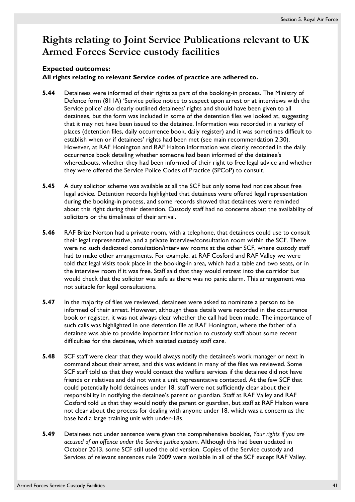### **Rights relating to Joint Service Publications relevant to UK Armed Forces Service custody facilities**

#### **Expected outcomes:**

**All rights relating to relevant Service codes of practice are adhered to.** 

- <span id="page-40-0"></span>**5.44** Detainees were informed of their rights as part of the booking-in process. The Ministry of Defence form (811A) 'Service police notice to suspect upon arrest or at interviews with the Service police' also clearly outlined detainees' rights and should have been given to all detainees, but the form was included in some of the detention files we looked at, suggesting that it may not have been issued to the detainee. Information was recorded in a variety of places (detention files, daily occurrence book, daily register) and it was sometimes difficult to establish when or if detainees' rights had been met (see main recommendation [2.30\)](#page-11-2). However, at RAF Honington and RAF Halton information was clearly recorded in the daily occurrence book detailing whether someone had been informed of the detainee's whereabouts, whether they had been informed of their right to free legal advice and whether they were offered the Service Police Codes of Practice (SPCoP) to consult.
- **5.45** A duty solicitor scheme was available at all the SCF but only some had notices about free legal advice. Detention records highlighted that detainees were offered legal representation during the booking-in process, and some records showed that detainees were reminded about this right during their detention. Custody staff had no concerns about the availability of solicitors or the timeliness of their arrival.
- **5.46** RAF Brize Norton had a private room, with a telephone, that detainees could use to consult their legal representative, and a private interview/consultation room within the SCF. There were no such dedicated consultation/interview rooms at the other SCF, where custody staff had to make other arrangements. For example, at RAF Cosford and RAF Valley we were told that legal visits took place in the booking-in area, which had a table and two seats, or in the interview room if it was free. Staff said that they would retreat into the corridor but would check that the solicitor was safe as there was no panic alarm. This arrangement was not suitable for legal consultations.
- **5.47** In the majority of files we reviewed, detainees were asked to nominate a person to be informed of their arrest. However, although these details were recorded in the occurrence book or register, it was not always clear whether the call had been made. The importance of such calls was highlighted in one detention file at RAF Honington, where the father of a detainee was able to provide important information to custody staff about some recent difficulties for the detainee, which assisted custody staff care.
- **5.48** SCF staff were clear that they would always notify the detainee's work manager or next in command about their arrest, and this was evident in many of the files we reviewed. Some SCF staff told us that they would contact the welfare services if the detainee did not have friends or relatives and did not want a unit representative contacted. At the few SCF that could potentially hold detainees under 18, staff were not sufficiently clear about their responsibility in notifying the detainee's parent or guardian. Staff at RAF Valley and RAF Cosford told us that they would notify the parent or guardian, but staff at RAF Halton were not clear about the process for dealing with anyone under 18, which was a concern as the base had a large training unit with under-18s.
- **5.49** Detainees not under sentence were given the comprehensive booklet, *Your rights if you are accused of an offence under the Service justice system*. Although this had been updated in October 2013, some SCF still used the old version. Copies of the Service custody and Services of relevant sentences rule 2009 were available in all of the SCF except RAF Valley.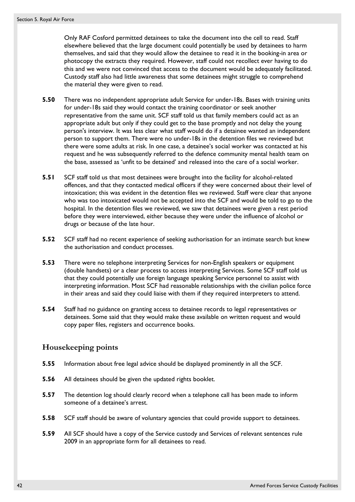Only RAF Cosford permitted detainees to take the document into the cell to read. Staff elsewhere believed that the large document could potentially be used by detainees to harm themselves, and said that they would allow the detainee to read it in the booking-in area or photocopy the extracts they required. However, staff could not recollect ever having to do this and we were not convinced that access to the document would be adequately facilitated. Custody staff also had little awareness that some detainees might struggle to comprehend the material they were given to read.

- **5.50** There was no independent appropriate adult Service for under-18s. Bases with training units for under-18s said they would contact the training coordinator or seek another representative from the same unit. SCF staff told us that family members could act as an appropriate adult but only if they could get to the base promptly and not delay the young person's interview. It was less clear what staff would do if a detainee wanted an independent person to support them. There were no under-18s in the detention files we reviewed but there were some adults at risk. In one case, a detainee's social worker was contacted at his request and he was subsequently referred to the defence community mental health team on the base, assessed as 'unfit to be detained' and released into the care of a social worker.
- **5.51** SCF staff told us that most detainees were brought into the facility for alcohol-related offences, and that they contacted medical officers if they were concerned about their level of intoxication; this was evident in the detention files we reviewed. Staff were clear that anyone who was too intoxicated would not be accepted into the SCF and would be told to go to the hospital. In the detention files we reviewed, we saw that detainees were given a rest period before they were interviewed, either because they were under the influence of alcohol or drugs or because of the late hour.
- **5.52** SCF staff had no recent experience of seeking authorisation for an intimate search but knew the authorisation and conduct processes.
- **5.53** There were no telephone interpreting Services for non-English speakers or equipment (double handsets) or a clear process to access interpreting Services. Some SCF staff told us that they could potentially use foreign language speaking Service personnel to assist with interpreting information. Most SCF had reasonable relationships with the civilian police force in their areas and said they could liaise with them if they required interpreters to attend.
- **5.54** Staff had no guidance on granting access to detainee records to legal representatives or detainees. Some said that they would make these available on written request and would copy paper files, registers and occurrence books.

### **Housekeeping points**

- <span id="page-41-0"></span>**5.55** Information about free legal advice should be displayed prominently in all the SCF.
- <span id="page-41-1"></span>**5.56** All detainees should be given the updated rights booklet.
- <span id="page-41-2"></span>**5.57** The detention log should clearly record when a telephone call has been made to inform someone of a detainee's arrest.
- <span id="page-41-3"></span>**5.58** SCF staff should be aware of voluntary agencies that could provide support to detainees.
- <span id="page-41-4"></span>**5.59** All SCF should have a copy of the Service custody and Services of relevant sentences rule 2009 in an appropriate form for all detainees to read.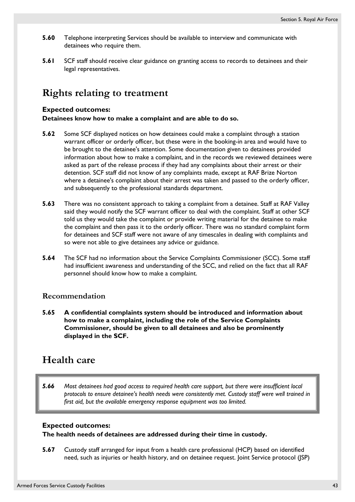- <span id="page-42-1"></span>**5.60** Telephone interpreting Services should be available to interview and communicate with detainees who require them.
- <span id="page-42-2"></span>**5.61** SCF staff should receive clear guidance on granting access to records to detainees and their legal representatives.

### **Rights relating to treatment**

#### **Expected outcomes:**

**Detainees know how to make a complaint and are able to do so.** 

- **5.62** Some SCF displayed notices on how detainees could make a complaint through a station warrant officer or orderly officer, but these were in the booking-in area and would have to be brought to the detainee's attention. Some documentation given to detainees provided information about how to make a complaint, and in the records we reviewed detainees were asked as part of the release process if they had any complaints about their arrest or their detention. SCF staff did not know of any complaints made, except at RAF Brize Norton where a detainee's complaint about their arrest was taken and passed to the orderly officer, and subsequently to the professional standards department.
- **5.63** There was no consistent approach to taking a complaint from a detainee. Staff at RAF Valley said they would notify the SCF warrant officer to deal with the complaint. Staff at other SCF told us they would take the complaint or provide writing material for the detainee to make the complaint and then pass it to the orderly officer. There was no standard complaint form for detainees and SCF staff were not aware of any timescales in dealing with complaints and so were not able to give detainees any advice or guidance.
- **5.64** The SCF had no information about the Service Complaints Commissioner (SCC). Some staff had insufficient awareness and understanding of the SCC, and relied on the fact that all RAF personnel should know how to make a complaint.

#### **Recommendation**

<span id="page-42-0"></span>**5.65 A confidential complaints system should be introduced and information about how to make a complaint, including the role of the Service Complaints Commissioner, should be given to all detainees and also be prominently displayed in the SCF.** 

### **Health care**

*5.66 Most detainees had good access to required health care support, but there were insufficient local protocols to ensure detainee's health needs were consistently met. Custody staff were well trained in first aid, but the available emergency response equipment was too limited.* 

#### **Expected outcomes:**

**The health needs of detainees are addressed during their time in custody.** 

**5.67** Custody staff arranged for input from a health care professional (HCP) based on identified need, such as injuries or health history, and on detainee request. Joint Service protocol (JSP)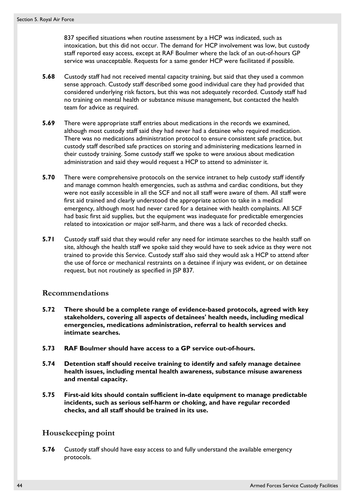837 specified situations when routine assessment by a HCP was indicated, such as intoxication, but this did not occur. The demand for HCP involvement was low, but custody staff reported easy access, except at RAF Boulmer where the lack of an out-of-hours GP service was unacceptable. Requests for a same gender HCP were facilitated if possible.

- **5.68** Custody staff had not received mental capacity training, but said that they used a common sense approach. Custody staff described some good individual care they had provided that considered underlying risk factors, but this was not adequately recorded. Custody staff had no training on mental health or substance misuse management, but contacted the health team for advice as required.
- **5.69** There were appropriate staff entries about medications in the records we examined, although most custody staff said they had never had a detainee who required medication. There was no medications administration protocol to ensure consistent safe practice, but custody staff described safe practices on storing and administering medications learned in their custody training. Some custody staff we spoke to were anxious about medication administration and said they would request a HCP to attend to administer it.
- **5.70** There were comprehensive protocols on the service intranet to help custody staff identify and manage common health emergencies, such as asthma and cardiac conditions, but they were not easily accessible in all the SCF and not all staff were aware of them. All staff were first aid trained and clearly understood the appropriate action to take in a medical emergency, although most had never cared for a detainee with health complaints. All SCF had basic first aid supplies, but the equipment was inadequate for predictable emergencies related to intoxication or major self-harm, and there was a lack of recorded checks.
- **5.71** Custody staff said that they would refer any need for intimate searches to the health staff on site, although the health staff we spoke said they would have to seek advice as they were not trained to provide this Service. Custody staff also said they would ask a HCP to attend after the use of force or mechanical restraints on a detainee if injury was evident, or on detainee request, but not routinely as specified in JSP 837.

#### **Recommendations**

- <span id="page-43-0"></span>**5.72 There should be a complete range of evidence-based protocols, agreed with key stakeholders, covering all aspects of detainees' health needs, including medical emergencies, medications administration, referral to health services and intimate searches.**
- <span id="page-43-1"></span>**5.73 RAF Boulmer should have access to a GP service out-of-hours.**
- <span id="page-43-2"></span>**5.74 Detention staff should receive training to identify and safely manage detainee health issues, including mental health awareness, substance misuse awareness and mental capacity.**
- <span id="page-43-3"></span>**5.75 First-aid kits should contain sufficient in-date equipment to manage predictable incidents, such as serious self-harm or choking, and have regular recorded checks, and all staff should be trained in its use.**

#### **Housekeeping point**

<span id="page-43-4"></span>**5.76** Custody staff should have easy access to and fully understand the available emergency protocols.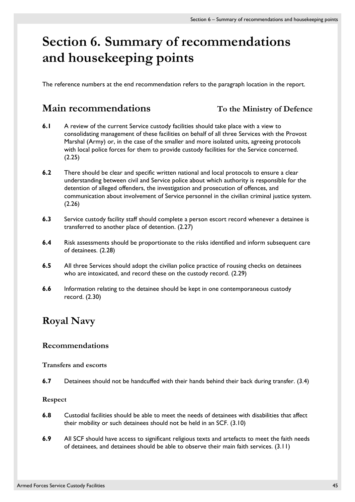## <span id="page-44-0"></span>**Section 6. Summary of recommendations and housekeeping points**

The reference numbers at the end recommendation refers to the paragraph location in the report.

### **Main recommendations** To the Ministry of Defence

- **6.1** A review of the current Service custody facilities should take place with a view to consolidating management of these facilities on behalf of all three Services with the Provost Marshal (Army) or, in the case of the smaller and more isolated units, agreeing protocols with local police forces for them to provide custody facilities for the Service concerned. [\(2.25](#page-10-2))
- **6.2** There should be clear and specific written national and local protocols to ensure a clear understanding between civil and Service police about which authority is responsible for the detention of alleged offenders, the investigation and prosecution of offences, and communication about involvement of Service personnel in the civilian criminal justice system. [\(2.26](#page-10-1))
- **6.3** Service custody facility staff should complete a person escort record whenever a detainee is transferred to another place of detention. [\(2.27](#page-10-0))
- **6.4** Risk assessments should be proportionate to the risks identified and inform subsequent care of detainees. ([2.28\)](#page-11-0)
- **6.5** All three Services should adopt the civilian police practice of rousing checks on detainees who are intoxicated, and record these on the custody record. [\(2.29](#page-11-1))
- **6.6** Information relating to the detainee should be kept in one contemporaneous custody record. [\(2.30](#page-11-2))

### **Royal Navy**

### **Recommendations**

#### **Transfers and escorts**

**6.7** Detainees should not be handcuffed with their hands behind their back during transfer. ([3.4](#page-12-1))

#### **Respect**

- **6.8** Custodial facilities should be able to meet the needs of detainees with disabilities that affect their mobility or such detainees should not be held in an SCF. ([3.10\)](#page-13-0)
- **6.9** All SCF should have access to significant religious texts and artefacts to meet the faith needs of detainees, and detainees should be able to observe their main faith services. [\(3.11](#page-13-1))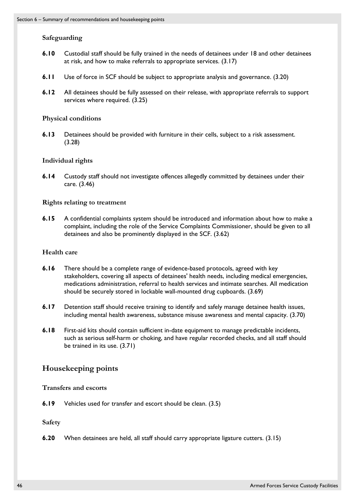### **Safeguarding**

- **6.10** Custodial staff should be fully trained in the needs of detainees under 18 and other detainees at risk, and how to make referrals to appropriate services. ([3.17\)](#page-14-1)
- **6.11** Use of force in SCF should be subject to appropriate analysis and governance. ([3.20\)](#page-15-0)
- **6.12** All detainees should be fully assessed on their release, with appropriate referrals to support services where required. ([3.25\)](#page-15-1)

#### **Physical conditions**

**6.13** Detainees should be provided with furniture in their cells, subject to a risk assessment. [\(3.28](#page-16-0))

### **Individual rights**

**6.14** Custody staff should not investigate offences allegedly committed by detainees under their care. ([3.46\)](#page-18-0)

### **Rights relating to treatment**

**6.15** A confidential complaints system should be introduced and information about how to make a complaint, including the role of the Service Complaints Commissioner, should be given to all detainees and also be prominently displayed in the SCF. ([3.62\)](#page-20-0)

#### **Health care**

- **6.16** There should be a complete range of evidence-based protocols, agreed with key stakeholders, covering all aspects of detainees' health needs, including medical emergencies, medications administration, referral to health services and intimate searches. All medication should be securely stored in lockable wall-mounted drug cupboards. [\(3.69\)](#page-21-0)
- **6.17** Detention staff should receive training to identify and safely manage detainee health issues, including mental health awareness, substance misuse awareness and mental capacity. ([3.70\)](#page-21-1)
- **6.18** First-aid kits should contain sufficient in-date equipment to manage predictable incidents, such as serious self-harm or choking, and have regular recorded checks, and all staff should be trained in its use. [\(3.71](#page-21-2))

### **Housekeeping points**

#### **Transfers and escorts**

**6.19** Vehicles used for transfer and escort should be clean. [\(3.5\)](#page-12-2)

**Safety** 

**6.20** When detainees are held, all staff should carry appropriate ligature cutters. [\(3.15\)](#page-14-2)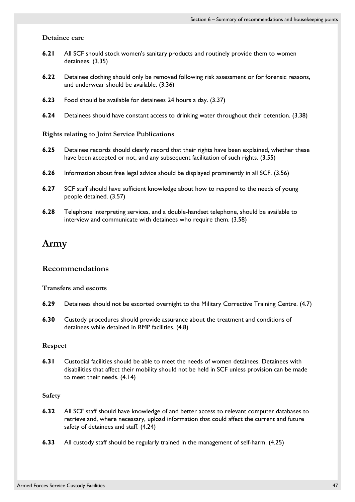#### **Detainee care**

- **6.21** All SCF should stock women's sanitary products and routinely provide them to women detainees. ([3.35\)](#page-17-0)
- **6.22** Detainee clothing should only be removed following risk assessment or for forensic reasons, and underwear should be available. [\(3.36](#page-17-1))
- **6.23** Food should be available for detainees 24 hours a day. ([3.37\)](#page-17-2)
- **6.24** Detainees should have constant access to drinking water throughout their detention. ([3.38\)](#page-17-3)

#### **Rights relating to Joint Service Publications**

- **6.25** Detainee records should clearly record that their rights have been explained, whether these have been accepted or not, and any subsequent facilitation of such rights. [\(3.55\)](#page-19-0)
- **6.26** Information about free legal advice should be displayed prominently in all SCF. ([3.56\)](#page-19-1)
- **6.27** SCF staff should have sufficient knowledge about how to respond to the needs of young people detained. ([3.57\)](#page-19-2)
- **6.28** Telephone interpreting services, and a double-handset telephone, should be available to interview and communicate with detainees who require them. ([3.58\)](#page-19-3)

### **Army**

#### **Recommendations**

**Transfers and escorts** 

- **6.29** Detainees should not be escorted overnight to the Military Corrective Training Centre. [\(4.7\)](#page-23-1)
- **6.30** Custody procedures should provide assurance about the treatment and conditions of detainees while detained in RMP facilities. [\(4.8\)](#page-23-2)

#### **Respect**

**6.31** Custodial facilities should be able to meet the needs of women detainees. Detainees with disabilities that affect their mobility should not be held in SCF unless provision can be made to meet their needs. [\(4.14](#page-24-1))

#### **Safety**

- **6.32** All SCF staff should have knowledge of and better access to relevant computer databases to retrieve and, where necessary, upload information that could affect the current and future safety of detainees and staff. [\(4.24\)](#page-25-0)
- **6.33** All custody staff should be regularly trained in the management of self-harm. [\(4.25](#page-25-1))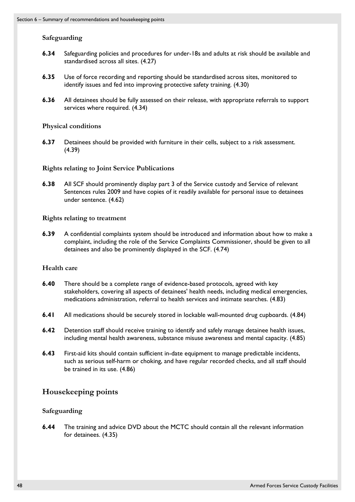#### **Safeguarding**

- **6.34** Safeguarding policies and procedures for under-18s and adults at risk should be available and standardised across all sites. [\(4.27](#page-26-1))
- **6.35** Use of force recording and reporting should be standardised across sites, monitored to identify issues and fed into improving protective safety training. [\(4.30](#page-26-2))
- **6.36** All detainees should be fully assessed on their release, with appropriate referrals to support services where required. ([4.34\)](#page-27-0)

#### **Physical conditions**

**6.37** Detainees should be provided with furniture in their cells, subject to a risk assessment. [\(4.39](#page-27-1))

**Rights relating to Joint Service Publications** 

**6.38** All SCF should prominently display part 3 of the Service custody and Service of relevant Sentences rules 2009 and have copies of it readily available for personal issue to detainees under sentence. ([4.62\)](#page-31-0)

#### **Rights relating to treatment**

**6.39** A confidential complaints system should be introduced and information about how to make a complaint, including the role of the Service Complaints Commissioner, should be given to all detainees and also be prominently displayed in the SCF. ([4.74\)](#page-32-0)

#### **Health care**

- **6.40** There should be a complete range of evidence-based protocols, agreed with key stakeholders, covering all aspects of detainees' health needs, including medical emergencies, medications administration, referral to health services and intimate searches. [\(4.83](#page-33-0))
- **6.41** All medications should be securely stored in lockable wall-mounted drug cupboards. [\(4.84](#page-33-1))
- **6.42** Detention staff should receive training to identify and safely manage detainee health issues, including mental health awareness, substance misuse awareness and mental capacity. ([4.85\)](#page-33-2)
- **6.43** First-aid kits should contain sufficient in-date equipment to manage predictable incidents, such as serious self-harm or choking, and have regular recorded checks, and all staff should be trained in its use. [\(4.86](#page-33-3))

#### **Housekeeping points**

#### **Safeguarding**

**6.44** The training and advice DVD about the MCTC should contain all the relevant information for detainees. ([4.35\)](#page-27-2)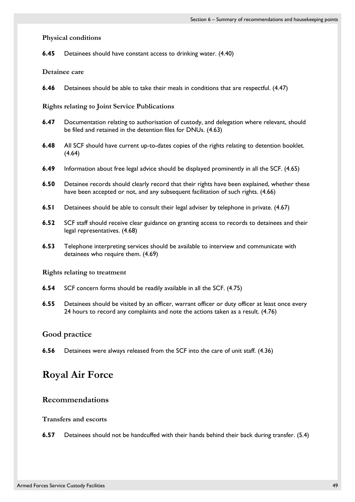#### **Physical conditions**

**6.45** Detainees should have constant access to drinking water. ([4.40\)](#page-27-3)

**Detainee care** 

**6.46** Detainees should be able to take their meals in conditions that are respectful. ([4.47\)](#page-28-1)

**Rights relating to Joint Service Publications** 

- **6.47** Documentation relating to authorisation of custody, and delegation where relevant, should be filed and retained in the detention files for DNUs. [\(4.63](#page-31-1))
- **6.48** All SCF should have current up-to-dates copies of the rights relating to detention booklet. [\(4.64](#page-31-2))
- **6.49** Information about free legal advice should be displayed prominently in all the SCF. [\(4.65](#page-31-3))
- **6.50** Detainee records should clearly record that their rights have been explained, whether these have been accepted or not, and any subsequent facilitation of such rights. [\(4.66\)](#page-31-4)
- **6.51** Detainees should be able to consult their legal adviser by telephone in private. [\(4.67](#page-31-5))
- **6.52** SCF staff should receive clear guidance on granting access to records to detainees and their legal representatives. ([4.68\)](#page-31-6)
- **6.53** Telephone interpreting services should be available to interview and communicate with detainees who require them. ([4.69\)](#page-31-7)

**Rights relating to treatment** 

- **6.54** SCF concern forms should be readily available in all the SCF. ([4.75\)](#page-32-1)
- **6.55** Detainees should be visited by an officer, warrant officer or duty officer at least once every 24 hours to record any complaints and note the actions taken as a result. ([4.76\)](#page-32-2)

#### **Good practice**

**6.56** Detainees were always released from the SCF into the care of unit staff. ([4.36\)](#page-27-4)

### **Royal Air Force**

#### **Recommendations**

#### **Transfers and escorts**

**6.57** Detainees should not be handcuffed with their hands behind their back during transfer. ([5.4](#page-34-2))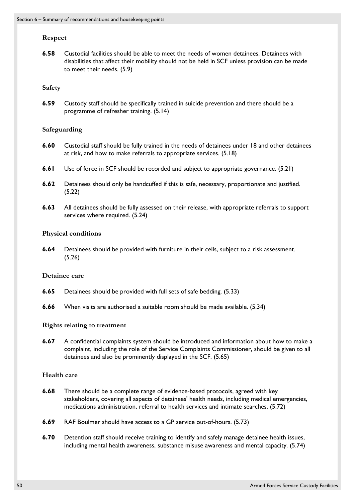#### **Respect**

**6.58** Custodial facilities should be able to meet the needs of women detainees. Detainees with disabilities that affect their mobility should not be held in SCF unless provision can be made to meet their needs. [\(5.9\)](#page-35-0)

#### **Safety**

**6.59** Custody staff should be specifically trained in suicide prevention and there should be a programme of refresher training. [\(5.14](#page-36-1))

#### **Safeguarding**

- **6.60** Custodial staff should be fully trained in the needs of detainees under 18 and other detainees at risk, and how to make referrals to appropriate services. ([5.18\)](#page-36-2)
- **6.61** Use of force in SCF should be recorded and subject to appropriate governance. [\(5.21\)](#page-37-0)
- **6.62** Detainees should only be handcuffed if this is safe, necessary, proportionate and justified. [\(5.22](#page-37-1))
- **6.63** All detainees should be fully assessed on their release, with appropriate referrals to support services where required. ([5.24\)](#page-37-2)

#### **Physical conditions**

**6.64** Detainees should be provided with furniture in their cells, subject to a risk assessment. [\(5.26](#page-37-3))

#### **Detainee care**

- **6.65** Detainees should be provided with full sets of safe bedding. ([5.33\)](#page-38-0)
- **6.66** When visits are authorised a suitable room should be made available. ([5.34\)](#page-38-1)

#### **Rights relating to treatment**

**6.67** A confidential complaints system should be introduced and information about how to make a complaint, including the role of the Service Complaints Commissioner, should be given to all detainees and also be prominently displayed in the SCF. ([5.65\)](#page-42-0)

#### **Health care**

- **6.68** There should be a complete range of evidence-based protocols, agreed with key stakeholders, covering all aspects of detainees' health needs, including medical emergencies, medications administration, referral to health services and intimate searches. [\(5.72](#page-43-0))
- **6.69** RAF Boulmer should have access to a GP service out-of-hours. [\(5.73](#page-43-1))
- **6.70** Detention staff should receive training to identify and safely manage detainee health issues, including mental health awareness, substance misuse awareness and mental capacity. ([5.74\)](#page-43-2)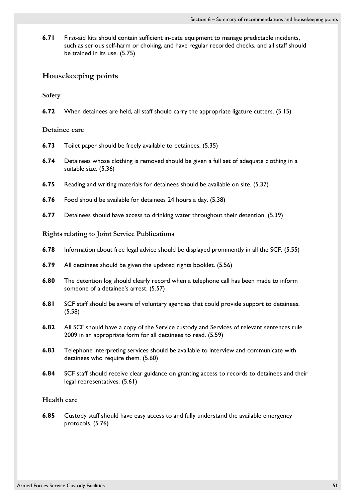**6.71** First-aid kits should contain sufficient in-date equipment to manage predictable incidents, such as serious self-harm or choking, and have regular recorded checks, and all staff should be trained in its use. [\(5.75](#page-43-3))

#### **Housekeeping points**

**Safety** 

**6.72** When detainees are held, all staff should carry the appropriate ligature cutters. [\(5.15](#page-36-3))

#### **Detainee care**

- **6.73** Toilet paper should be freely available to detainees. [\(5.35](#page-38-2))
- **6.74** Detainees whose clothing is removed should be given a full set of adequate clothing in a suitable size. ([5.36\)](#page-38-3)
- **6.75** Reading and writing materials for detainees should be available on site. [\(5.37](#page-38-4))
- **6.76** Food should be available for detainees 24 hours a day. ([5.38\)](#page-38-5)
- **6.77** Detainees should have access to drinking water throughout their detention. ([5.39\)](#page-39-0)

#### **Rights relating to Joint Service Publications**

- **6.78** Information about free legal advice should be displayed prominently in all the SCF. [\(5.55](#page-41-0))
- **6.79** All detainees should be given the updated rights booklet. [\(5.56](#page-41-1))
- **6.80** The detention log should clearly record when a telephone call has been made to inform someone of a detainee's arrest. [\(5.57](#page-41-2))
- **6.81** SCF staff should be aware of voluntary agencies that could provide support to detainees. [\(5.58](#page-41-3))
- **6.82** All SCF should have a copy of the Service custody and Services of relevant sentences rule 2009 in an appropriate form for all detainees to read. [\(5.59](#page-41-4))
- **6.83** Telephone interpreting services should be available to interview and communicate with detainees who require them. ([5.60\)](#page-42-1)
- **6.84** SCF staff should receive clear guidance on granting access to records to detainees and their legal representatives. ([5.61\)](#page-42-2)

#### **Health care**

**6.85** Custody staff should have easy access to and fully understand the available emergency protocols. ([5.76\)](#page-43-4)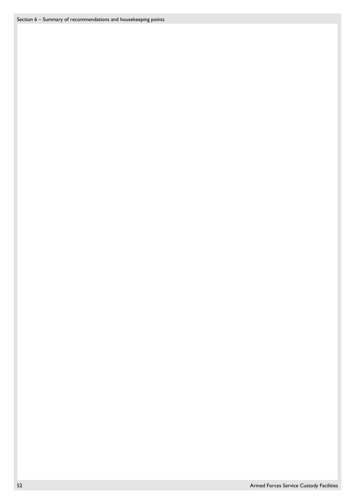Section 6 – Summary of recommendations and housekeeping points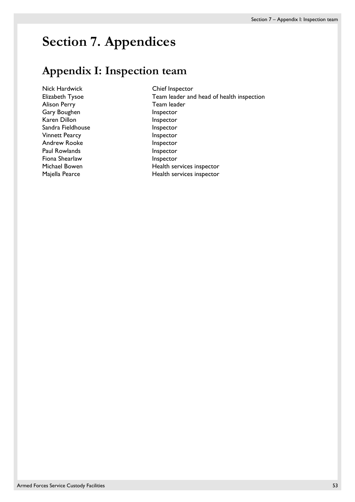## <span id="page-52-0"></span>**Section 7. Appendices**

### <span id="page-52-1"></span>**Appendix I: Inspection team**

Nick Hardwick Chief Inspector Alison Perry **Team leader** Gary Boughen **Inspector** Inspector Karen Dillon **Inspector** Sandra Fieldhouse **Inspector** Vinnett Pearcy **Inspector** Andrew Rooke Inspector Paul Rowlands **Inspector** Fiona Shearlaw **Inspector** 

Elizabeth Tysoe Team leader and head of health inspection Michael Bowen **Health services** inspector Majella Pearce **Health services** inspector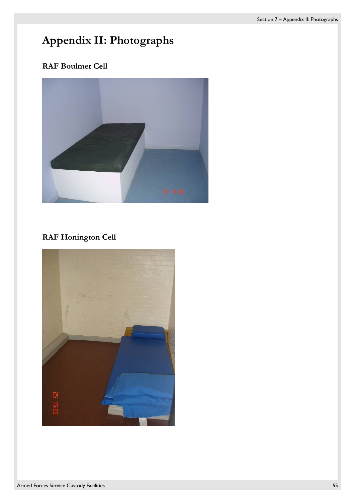## <span id="page-54-0"></span>**Appendix II: Photographs**

### **RAF Boulmer Cell**



### **RAF Honington Cell**

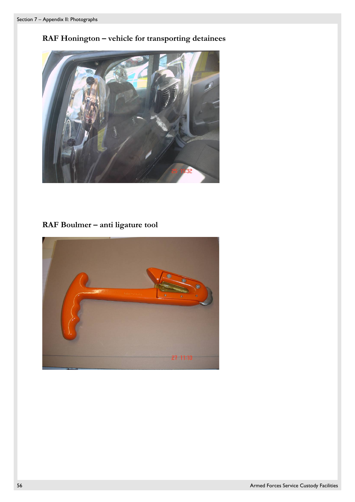### **RAF Honington – vehicle for transporting detainees**

### **RAF Boulmer – anti ligature tool**